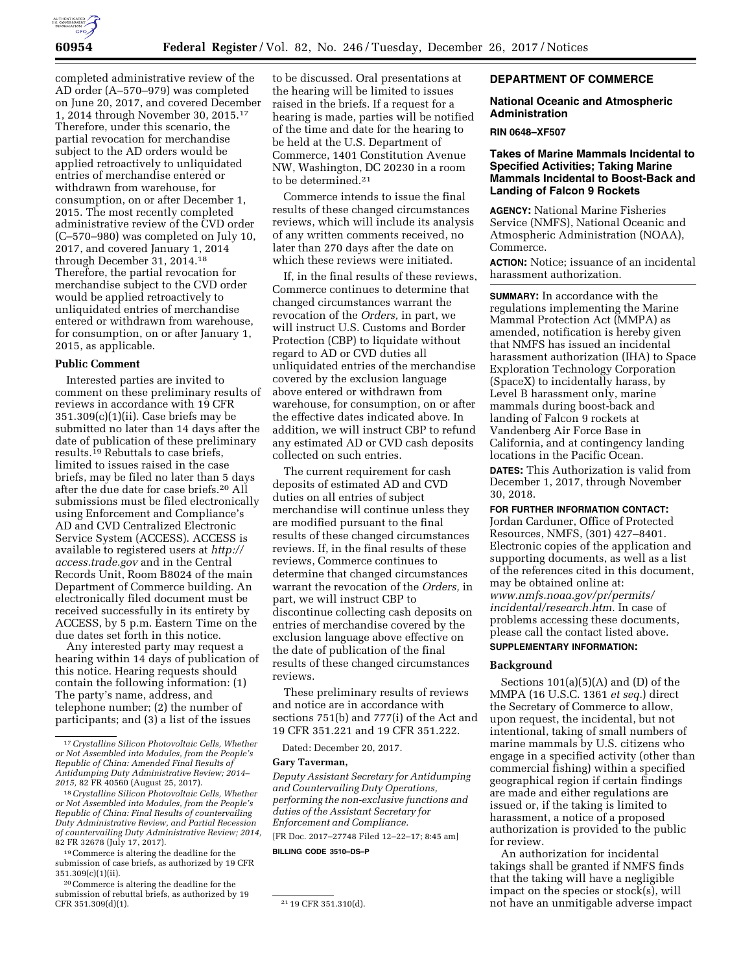

completed administrative review of the AD order (A–570–979) was completed on June 20, 2017, and covered December 1, 2014 through November 30, 2015.17 Therefore, under this scenario, the partial revocation for merchandise subject to the AD orders would be applied retroactively to unliquidated entries of merchandise entered or withdrawn from warehouse, for consumption, on or after December 1, 2015. The most recently completed administrative review of the CVD order (C–570–980) was completed on July 10, 2017, and covered January 1, 2014 through December 31, 2014.18 Therefore, the partial revocation for merchandise subject to the CVD order would be applied retroactively to unliquidated entries of merchandise entered or withdrawn from warehouse, for consumption, on or after January 1, 2015, as applicable.

#### **Public Comment**

Interested parties are invited to comment on these preliminary results of reviews in accordance with 19 CFR 351.309(c)(1)(ii). Case briefs may be submitted no later than 14 days after the date of publication of these preliminary results.19 Rebuttals to case briefs, limited to issues raised in the case briefs, may be filed no later than 5 days after the due date for case briefs.20 All submissions must be filed electronically using Enforcement and Compliance's AD and CVD Centralized Electronic Service System (ACCESS). ACCESS is available to registered users at *[http://](http://access.trade.gov) [access.trade.gov](http://access.trade.gov)* and in the Central Records Unit, Room B8024 of the main Department of Commerce building. An electronically filed document must be received successfully in its entirety by ACCESS, by 5 p.m. Eastern Time on the due dates set forth in this notice.

Any interested party may request a hearing within 14 days of publication of this notice. Hearing requests should contain the following information: (1) The party's name, address, and telephone number; (2) the number of participants; and (3) a list of the issues

to be discussed. Oral presentations at the hearing will be limited to issues raised in the briefs. If a request for a hearing is made, parties will be notified of the time and date for the hearing to be held at the U.S. Department of Commerce, 1401 Constitution Avenue NW, Washington, DC 20230 in a room to be determined.21

Commerce intends to issue the final results of these changed circumstances reviews, which will include its analysis of any written comments received, no later than 270 days after the date on which these reviews were initiated.

If, in the final results of these reviews, Commerce continues to determine that changed circumstances warrant the revocation of the *Orders,* in part, we will instruct U.S. Customs and Border Protection (CBP) to liquidate without regard to AD or CVD duties all unliquidated entries of the merchandise covered by the exclusion language above entered or withdrawn from warehouse, for consumption, on or after the effective dates indicated above. In addition, we will instruct CBP to refund any estimated AD or CVD cash deposits collected on such entries.

The current requirement for cash deposits of estimated AD and CVD duties on all entries of subject merchandise will continue unless they are modified pursuant to the final results of these changed circumstances reviews. If, in the final results of these reviews, Commerce continues to determine that changed circumstances warrant the revocation of the *Orders,* in part, we will instruct CBP to discontinue collecting cash deposits on entries of merchandise covered by the exclusion language above effective on the date of publication of the final results of these changed circumstances reviews.

These preliminary results of reviews and notice are in accordance with sections 751(b) and 777(i) of the Act and 19 CFR 351.221 and 19 CFR 351.222.

Dated: December 20, 2017.

## **Gary Taverman,**

*Deputy Assistant Secretary for Antidumping and Countervailing Duty Operations, performing the non-exclusive functions and duties of the Assistant Secretary for Enforcement and Compliance.* 

[FR Doc. 2017–27748 Filed 12–22–17; 8:45 am]

**BILLING CODE 3510–DS–P** 

## **DEPARTMENT OF COMMERCE**

#### **National Oceanic and Atmospheric Administration**

#### **RIN 0648–XF507**

## **Takes of Marine Mammals Incidental to Specified Activities; Taking Marine Mammals Incidental to Boost-Back and Landing of Falcon 9 Rockets**

**AGENCY:** National Marine Fisheries Service (NMFS), National Oceanic and Atmospheric Administration (NOAA), Commerce.

**ACTION:** Notice; issuance of an incidental harassment authorization.

**SUMMARY:** In accordance with the regulations implementing the Marine Mammal Protection Act (MMPA) as amended, notification is hereby given that NMFS has issued an incidental harassment authorization (IHA) to Space Exploration Technology Corporation (SpaceX) to incidentally harass, by Level B harassment only, marine mammals during boost-back and landing of Falcon 9 rockets at Vandenberg Air Force Base in California, and at contingency landing locations in the Pacific Ocean.

**DATES:** This Authorization is valid from December 1, 2017, through November 30, 2018.

#### **FOR FURTHER INFORMATION CONTACT:**

Jordan Carduner, Office of Protected Resources, NMFS, (301) 427–8401. Electronic copies of the application and supporting documents, as well as a list of the references cited in this document, may be obtained online at: *[www.nmfs.noaa.gov/pr/permits/](http://www.nmfs.noaa.gov/pr/permits/incidental/research.htm) [incidental/research.htm.](http://www.nmfs.noaa.gov/pr/permits/incidental/research.htm)* In case of problems accessing these documents, please call the contact listed above.

# **SUPPLEMENTARY INFORMATION:**

## **Background**

Sections  $101(a)(5)(A)$  and  $(D)$  of the MMPA (16 U.S.C. 1361 *et seq.*) direct the Secretary of Commerce to allow, upon request, the incidental, but not intentional, taking of small numbers of marine mammals by U.S. citizens who engage in a specified activity (other than commercial fishing) within a specified geographical region if certain findings are made and either regulations are issued or, if the taking is limited to harassment, a notice of a proposed authorization is provided to the public for review.

An authorization for incidental takings shall be granted if NMFS finds that the taking will have a negligible impact on the species or stock(s), will not have an unmitigable adverse impact

<sup>17</sup>*Crystalline Silicon Photovoltaic Cells, Whether or Not Assembled into Modules, from the People's Republic of China: Amended Final Results of Antidumping Duty Administrative Review; 2014– 2015,* 82 FR 40560 (August 25, 2017).

<sup>18</sup>*Crystalline Silicon Photovoltaic Cells, Whether or Not Assembled into Modules, from the People's Republic of China: Final Results of countervailing Duty Administrative Review, and Partial Recession of countervailing Duty Administrative Review; 2014,*  82 FR 32678 (July 17, 2017).

<sup>19</sup>Commerce is altering the deadline for the submission of case briefs, as authorized by 19 CFR 351.309(c)(1)(ii).

<sup>20</sup>Commerce is altering the deadline for the submission of rebuttal briefs, as authorized by 19<br>CFR 351.309(d)(1).

<sup>&</sup>lt;sup>21</sup> 19 CFR 351.310(d).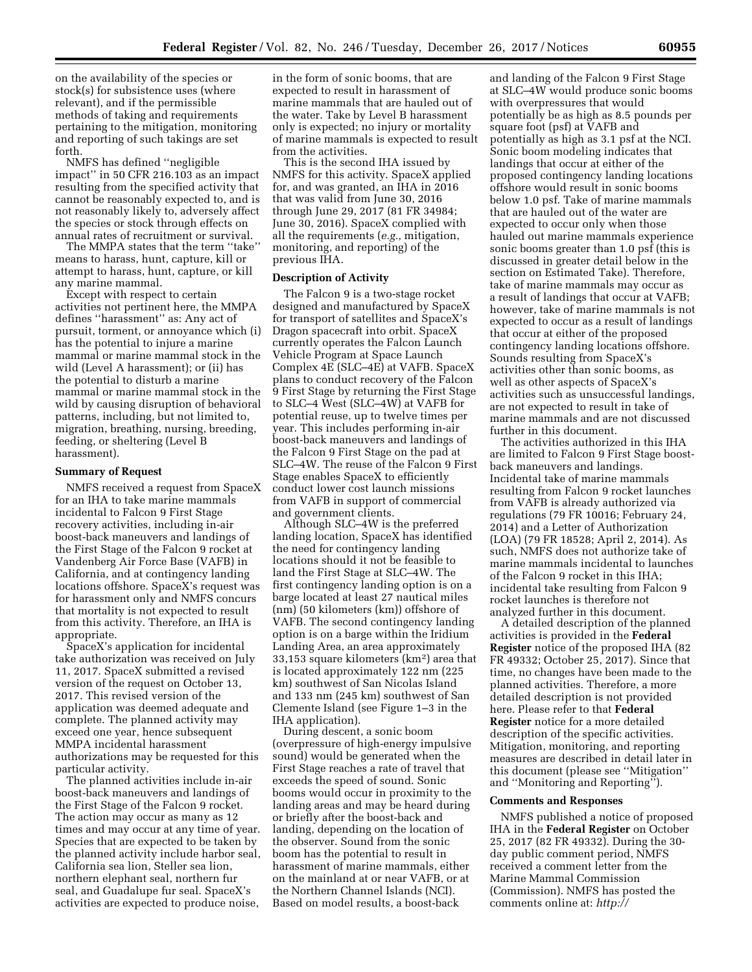on the availability of the species or stock(s) for subsistence uses (where relevant), and if the permissible methods of taking and requirements pertaining to the mitigation, monitoring and reporting of such takings are set forth.

NMFS has defined ''negligible impact'' in 50 CFR 216.103 as an impact resulting from the specified activity that cannot be reasonably expected to, and is not reasonably likely to, adversely affect the species or stock through effects on annual rates of recruitment or survival.

The MMPA states that the term ''take'' means to harass, hunt, capture, kill or attempt to harass, hunt, capture, or kill any marine mammal.

Except with respect to certain activities not pertinent here, the MMPA defines ''harassment'' as: Any act of pursuit, torment, or annoyance which (i) has the potential to injure a marine mammal or marine mammal stock in the wild (Level A harassment); or (ii) has the potential to disturb a marine mammal or marine mammal stock in the wild by causing disruption of behavioral patterns, including, but not limited to, migration, breathing, nursing, breeding, feeding, or sheltering (Level B harassment).

#### **Summary of Request**

NMFS received a request from SpaceX for an IHA to take marine mammals incidental to Falcon 9 First Stage recovery activities, including in-air boost-back maneuvers and landings of the First Stage of the Falcon 9 rocket at Vandenberg Air Force Base (VAFB) in California, and at contingency landing locations offshore. SpaceX's request was for harassment only and NMFS concurs that mortality is not expected to result from this activity. Therefore, an IHA is appropriate.

SpaceX's application for incidental take authorization was received on July 11, 2017. SpaceX submitted a revised version of the request on October 13, 2017. This revised version of the application was deemed adequate and complete. The planned activity may exceed one year, hence subsequent MMPA incidental harassment authorizations may be requested for this particular activity.

The planned activities include in-air boost-back maneuvers and landings of the First Stage of the Falcon 9 rocket. The action may occur as many as 12 times and may occur at any time of year. Species that are expected to be taken by the planned activity include harbor seal, California sea lion, Steller sea lion, northern elephant seal, northern fur seal, and Guadalupe fur seal. SpaceX's activities are expected to produce noise,

in the form of sonic booms, that are expected to result in harassment of marine mammals that are hauled out of the water. Take by Level B harassment only is expected; no injury or mortality of marine mammals is expected to result from the activities.

This is the second IHA issued by NMFS for this activity. SpaceX applied for, and was granted, an IHA in 2016 that was valid from June 30, 2016 through June 29, 2017 (81 FR 34984; June 30, 2016). SpaceX complied with all the requirements (*e.g.,* mitigation, monitoring, and reporting) of the previous IHA.

## **Description of Activity**

The Falcon 9 is a two-stage rocket designed and manufactured by SpaceX for transport of satellites and SpaceX's Dragon spacecraft into orbit. SpaceX currently operates the Falcon Launch Vehicle Program at Space Launch Complex 4E (SLC–4E) at VAFB. SpaceX plans to conduct recovery of the Falcon 9 First Stage by returning the First Stage to SLC–4 West (SLC–4W) at VAFB for potential reuse, up to twelve times per year. This includes performing in-air boost-back maneuvers and landings of the Falcon 9 First Stage on the pad at SLC–4W. The reuse of the Falcon 9 First Stage enables SpaceX to efficiently conduct lower cost launch missions from VAFB in support of commercial and government clients.

Although SLC–4W is the preferred landing location, SpaceX has identified the need for contingency landing locations should it not be feasible to land the First Stage at SLC–4W. The first contingency landing option is on a barge located at least 27 nautical miles (nm) (50 kilometers (km)) offshore of VAFB. The second contingency landing option is on a barge within the Iridium Landing Area, an area approximately 33,153 square kilometers (km2) area that is located approximately 122 nm (225 km) southwest of San Nicolas Island and 133 nm (245 km) southwest of San Clemente Island (see Figure 1–3 in the IHA application).

During descent, a sonic boom (overpressure of high-energy impulsive sound) would be generated when the First Stage reaches a rate of travel that exceeds the speed of sound. Sonic booms would occur in proximity to the landing areas and may be heard during or briefly after the boost-back and landing, depending on the location of the observer. Sound from the sonic boom has the potential to result in harassment of marine mammals, either on the mainland at or near VAFB, or at the Northern Channel Islands (NCI). Based on model results, a boost-back

and landing of the Falcon 9 First Stage at SLC–4W would produce sonic booms with overpressures that would potentially be as high as 8.5 pounds per square foot (psf) at VAFB and potentially as high as 3.1 psf at the NCI. Sonic boom modeling indicates that landings that occur at either of the proposed contingency landing locations offshore would result in sonic booms below 1.0 psf. Take of marine mammals that are hauled out of the water are expected to occur only when those hauled out marine mammals experience sonic booms greater than 1.0 psf (this is discussed in greater detail below in the section on Estimated Take). Therefore, take of marine mammals may occur as a result of landings that occur at VAFB; however, take of marine mammals is not expected to occur as a result of landings that occur at either of the proposed contingency landing locations offshore. Sounds resulting from SpaceX's activities other than sonic booms, as well as other aspects of SpaceX's activities such as unsuccessful landings, are not expected to result in take of marine mammals and are not discussed further in this document.

The activities authorized in this IHA are limited to Falcon 9 First Stage boostback maneuvers and landings. Incidental take of marine mammals resulting from Falcon 9 rocket launches from VAFB is already authorized via regulations (79 FR 10016; February 24, 2014) and a Letter of Authorization (LOA) (79 FR 18528; April 2, 2014). As such, NMFS does not authorize take of marine mammals incidental to launches of the Falcon 9 rocket in this IHA; incidental take resulting from Falcon 9 rocket launches is therefore not analyzed further in this document.

A detailed description of the planned activities is provided in the **Federal Register** notice of the proposed IHA (82 FR 49332; October 25, 2017). Since that time, no changes have been made to the planned activities. Therefore, a more detailed description is not provided here. Please refer to that **Federal Register** notice for a more detailed description of the specific activities. Mitigation, monitoring, and reporting measures are described in detail later in this document (please see ''Mitigation'' and ''Monitoring and Reporting'').

#### **Comments and Responses**

NMFS published a notice of proposed IHA in the **Federal Register** on October 25, 2017 (82 FR 49332). During the 30 day public comment period, NMFS received a comment letter from the Marine Mammal Commission (Commission). NMFS has posted the comments online at: *[http://](http://www.nmfs.noaa.gov/pr/permits/incidental)*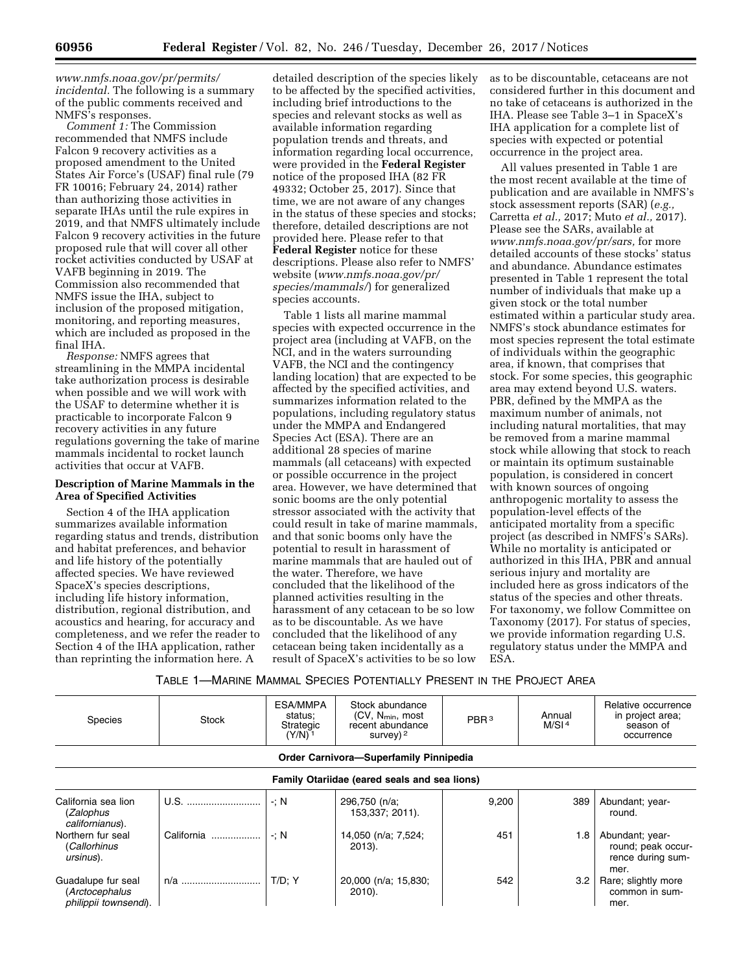*[www.nmfs.noaa.gov/pr/permits/](http://www.nmfs.noaa.gov/pr/permits/incidental) [incidental.](http://www.nmfs.noaa.gov/pr/permits/incidental)* The following is a summary of the public comments received and NMFS's responses.

*Comment 1:* The Commission recommended that NMFS include Falcon 9 recovery activities as a proposed amendment to the United States Air Force's (USAF) final rule (79 FR 10016; February 24, 2014) rather than authorizing those activities in separate IHAs until the rule expires in 2019, and that NMFS ultimately include Falcon 9 recovery activities in the future proposed rule that will cover all other rocket activities conducted by USAF at VAFB beginning in 2019. The Commission also recommended that NMFS issue the IHA, subject to inclusion of the proposed mitigation, monitoring, and reporting measures, which are included as proposed in the final IHA.

*Response:* NMFS agrees that streamlining in the MMPA incidental take authorization process is desirable when possible and we will work with the USAF to determine whether it is practicable to incorporate Falcon 9 recovery activities in any future regulations governing the take of marine mammals incidental to rocket launch activities that occur at VAFB.

## **Description of Marine Mammals in the Area of Specified Activities**

Section 4 of the IHA application summarizes available information regarding status and trends, distribution and habitat preferences, and behavior and life history of the potentially affected species. We have reviewed SpaceX's species descriptions, including life history information, distribution, regional distribution, and acoustics and hearing, for accuracy and completeness, and we refer the reader to Section 4 of the IHA application, rather than reprinting the information here. A

detailed description of the species likely to be affected by the specified activities, including brief introductions to the species and relevant stocks as well as available information regarding population trends and threats, and information regarding local occurrence, were provided in the **Federal Register**  notice of the proposed IHA (82 FR 49332; October 25, 2017). Since that time, we are not aware of any changes in the status of these species and stocks; therefore, detailed descriptions are not provided here. Please refer to that **Federal Register** notice for these descriptions. Please also refer to NMFS' website (*[www.nmfs.noaa.gov/pr/](http://www.nmfs.noaa.gov/pr/species/mammals/) [species/mammals/](http://www.nmfs.noaa.gov/pr/species/mammals/)*) for generalized species accounts.

Table 1 lists all marine mammal species with expected occurrence in the project area (including at VAFB, on the NCI, and in the waters surrounding VAFB, the NCI and the contingency landing location) that are expected to be affected by the specified activities, and summarizes information related to the populations, including regulatory status under the MMPA and Endangered Species Act (ESA). There are an additional 28 species of marine mammals (all cetaceans) with expected or possible occurrence in the project area. However, we have determined that sonic booms are the only potential stressor associated with the activity that could result in take of marine mammals, and that sonic booms only have the potential to result in harassment of marine mammals that are hauled out of the water. Therefore, we have concluded that the likelihood of the planned activities resulting in the harassment of any cetacean to be so low as to be discountable. As we have concluded that the likelihood of any cetacean being taken incidentally as a result of SpaceX's activities to be so low

as to be discountable, cetaceans are not considered further in this document and no take of cetaceans is authorized in the IHA. Please see Table 3–1 in SpaceX's IHA application for a complete list of species with expected or potential occurrence in the project area.

All values presented in Table 1 are the most recent available at the time of publication and are available in NMFS's stock assessment reports (SAR) (*e.g.,*  Carretta *et al.,* 2017; Muto *et al.,* 2017). Please see the SARs, available at *[www.nmfs.noaa.gov/pr/sars,](http://www.nmfs.noaa.gov/pr/sars)* for more detailed accounts of these stocks' status and abundance. Abundance estimates presented in Table 1 represent the total number of individuals that make up a given stock or the total number estimated within a particular study area. NMFS's stock abundance estimates for most species represent the total estimate of individuals within the geographic area, if known, that comprises that stock. For some species, this geographic area may extend beyond U.S. waters. PBR, defined by the MMPA as the maximum number of animals, not including natural mortalities, that may be removed from a marine mammal stock while allowing that stock to reach or maintain its optimum sustainable population, is considered in concert with known sources of ongoing anthropogenic mortality to assess the population-level effects of the anticipated mortality from a specific project (as described in NMFS's SARs). While no mortality is anticipated or authorized in this IHA, PBR and annual serious injury and mortality are included here as gross indicators of the status of the species and other threats. For taxonomy, we follow Committee on Taxonomy (2017). For status of species, we provide information regarding U.S. regulatory status under the MMPA and ESA.

## TABLE 1—MARINE MAMMAL SPECIES POTENTIALLY PRESENT IN THE PROJECT AREA

| <b>Species</b>                                                | Stock      | ESA/MMPA<br>status:<br>Strategic<br>$(Y/N)^{-1}$ | Stock abundance<br>$(CV, N_{min}, most)$<br>recent abundance<br>survey) $2$ | PBR <sup>3</sup> | Annual<br>M/SI <sup>4</sup> | Relative occurrence<br>in project area;<br>season of<br>occurrence |  |  |
|---------------------------------------------------------------|------------|--------------------------------------------------|-----------------------------------------------------------------------------|------------------|-----------------------------|--------------------------------------------------------------------|--|--|
| Order Carnivora-Superfamily Pinnipedia                        |            |                                                  |                                                                             |                  |                             |                                                                    |  |  |
| Family Otariidae (eared seals and sea lions)                  |            |                                                  |                                                                             |                  |                             |                                                                    |  |  |
| California sea lion<br>(Zalophus<br>californianus).           | U.S.       | $\cdot : N$                                      | 296,750 (n/a;<br>153,337; 2011).                                            | 9,200            | 389                         | Abundant; year-<br>round.                                          |  |  |
| Northern fur seal<br>(Callorhinus<br>ursinus).                | California | $\cdot : N$                                      | 14,050 (n/a; 7,524;<br>2013).                                               | 451              | 1.8                         | Abundant; year-<br>round; peak occur-<br>rence during sum-<br>mer. |  |  |
| Guadalupe fur seal<br>(Arctocephalus<br>philippii townsendi). |            | T/D: Y                                           | 20,000 (n/a; 15,830;<br>$2010$ ).                                           | 542              | 3.2 <sub>2</sub>            | Rare; slightly more<br>common in sum-<br>mer.                      |  |  |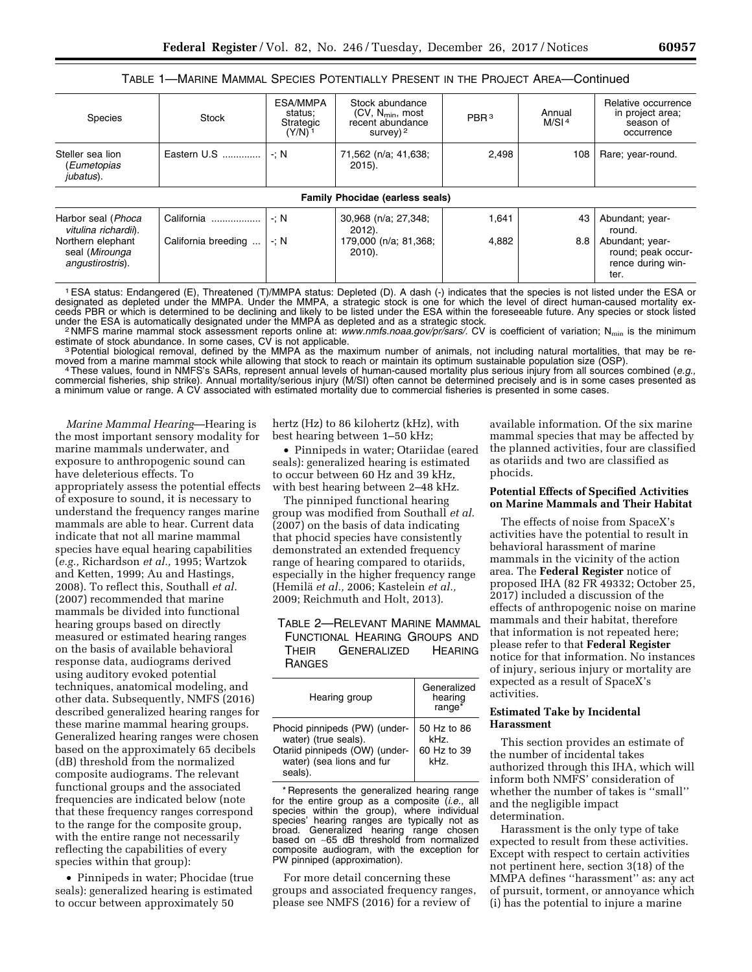## TABLE 1—MARINE MAMMAL SPECIES POTENTIALLY PRESENT IN THE PROJECT AREA—Continued

| Species                                                                                               | <b>Stock</b>                      | ESA/MMPA<br>status;<br>Strategic<br>$(Y/N)^{-1}$ | Stock abundance<br>(CV, N <sub>min</sub> , most<br>recent abundance<br>survey) $2$ | PBR <sup>3</sup> | Annual<br>M/SI <sup>4</sup> | Relative occurrence<br>in project area;<br>season of<br>occurrence                      |
|-------------------------------------------------------------------------------------------------------|-----------------------------------|--------------------------------------------------|------------------------------------------------------------------------------------|------------------|-----------------------------|-----------------------------------------------------------------------------------------|
| Steller sea lion<br>(Eumetopias<br>jubatus).                                                          | Eastern U.S                       | $\mathbf{N}$                                     | 71,562 (n/a; 41,638;<br>$2015$ ).                                                  | 2,498            | 108                         | Rare; year-round.                                                                       |
|                                                                                                       |                                   |                                                  | <b>Family Phocidae (earless seals)</b>                                             |                  |                             |                                                                                         |
| Harbor seal (Phoca<br>vitulina richardii).<br>Northern elephant<br>seal (Mirounga<br>angustirostris). | California<br>California breeding | $\therefore$ N<br>$\cdot : N$                    | 30,968 (n/a; 27,348;<br>$2012$ ).<br>179,000 (n/a; 81,368;<br>$2010$ ).            | 1,641<br>4,882   | 43<br>8.8                   | Abundant; year-<br>round.<br>Abundant; year-<br>round; peak occur-<br>rence during win- |
|                                                                                                       |                                   |                                                  |                                                                                    |                  |                             | ter.                                                                                    |

1ESA status: Endangered (E), Threatened (T)/MMPA status: Depleted (D). A dash (-) indicates that the species is not listed under the ESA or designated as depleted under the MMPA. Under the MMPA, a strategic stock is one for which the level of direct human-caused mortality exceeds PBR or which is determined to be declining and likely to be listed under the ESA within the foreseeable future. Any species or stock listed under the ESA within the foreseeable future. Any species or stock listed und

<sup>2</sup>NMFS marine mammal stock assessment reports online at: [www.nmfs.noaa.gov/pr/sars/.](http://www.nmfs.noaa.gov/pr/sars/) CV is coefficient of variation; N<sub>min</sub> is the minimum

estimate of stock abundance. In some cases, CV is not applicable.<br><sup>3</sup>Potential biological removal, defined by the MMPA as the maximum number of animals, not including natural mortalities, that may be re-<br>moved from a marin

4 These values, found in NMFS's SARs, represent annual levels of human-caused mortality plus serious injury from all sources combined (e.g., commercial fisheries, ship strike). Annual mortality/serious injury (M/SI) often cannot be determined precisely and is in some cases presented as a minimum value or range. A CV associated with estimated mortality due to commercial fisheries is presented in some cases.

*Marine Mammal Hearing*—Hearing is the most important sensory modality for marine mammals underwater, and exposure to anthropogenic sound can have deleterious effects. To appropriately assess the potential effects of exposure to sound, it is necessary to understand the frequency ranges marine mammals are able to hear. Current data indicate that not all marine mammal species have equal hearing capabilities (*e.g.,* Richardson *et al.,* 1995; Wartzok and Ketten, 1999; Au and Hastings, 2008). To reflect this, Southall *et al.*  (2007) recommended that marine mammals be divided into functional hearing groups based on directly measured or estimated hearing ranges on the basis of available behavioral response data, audiograms derived using auditory evoked potential techniques, anatomical modeling, and other data. Subsequently, NMFS (2016) described generalized hearing ranges for these marine mammal hearing groups. Generalized hearing ranges were chosen based on the approximately 65 decibels (dB) threshold from the normalized composite audiograms. The relevant functional groups and the associated frequencies are indicated below (note that these frequency ranges correspond to the range for the composite group, with the entire range not necessarily reflecting the capabilities of every species within that group):

• Pinnipeds in water; Phocidae (true seals): generalized hearing is estimated to occur between approximately 50

hertz (Hz) to 86 kilohertz (kHz), with best hearing between 1–50 kHz;

• Pinnipeds in water; Otariidae (eared seals): generalized hearing is estimated to occur between 60 Hz and 39 kHz, with best hearing between 2–48 kHz.

The pinniped functional hearing group was modified from Southall *et al.*  (2007) on the basis of data indicating that phocid species have consistently demonstrated an extended frequency range of hearing compared to otariids, especially in the higher frequency range (Hemila¨ *et al.,* 2006; Kastelein *et al.,*  2009; Reichmuth and Holt, 2013).

## TABLE 2—RELEVANT MARINE MAMMAL FUNCTIONAL HEARING GROUPS AND THEIR GENERALIZED HEARING RANGES

| Hearing group                                                                                                                  | Generalized<br>hearing<br>range*           |
|--------------------------------------------------------------------------------------------------------------------------------|--------------------------------------------|
| Phocid pinnipeds (PW) (under-<br>water) (true seals).<br>Otariid pinnipeds (OW) (under-<br>water) (sea lions and fur<br>seals) | 50 Hz to 86<br>kHz.<br>60 Hz to 39<br>kHz. |

\* Represents the generalized hearing range for the entire group as a composite (*i.e.,* all species within the group), where individual species' hearing ranges are typically not as broad. Generalized hearing range chosen based on ∼65 dB threshold from normalized composite audiogram, with the exception for PW pinniped (approximation).

For more detail concerning these groups and associated frequency ranges, please see NMFS (2016) for a review of

available information. Of the six marine mammal species that may be affected by the planned activities, four are classified as otariids and two are classified as phocids.

#### **Potential Effects of Specified Activities on Marine Mammals and Their Habitat**

The effects of noise from SpaceX's activities have the potential to result in behavioral harassment of marine mammals in the vicinity of the action area. The **Federal Register** notice of proposed IHA (82 FR 49332; October 25, 2017) included a discussion of the effects of anthropogenic noise on marine mammals and their habitat, therefore that information is not repeated here; please refer to that **Federal Register**  notice for that information. No instances of injury, serious injury or mortality are expected as a result of SpaceX's activities.

#### **Estimated Take by Incidental Harassment**

This section provides an estimate of the number of incidental takes authorized through this IHA, which will inform both NMFS' consideration of whether the number of takes is ''small'' and the negligible impact determination.

Harassment is the only type of take expected to result from these activities. Except with respect to certain activities not pertinent here, section 3(18) of the MMPA defines ''harassment'' as: any act of pursuit, torment, or annoyance which (i) has the potential to injure a marine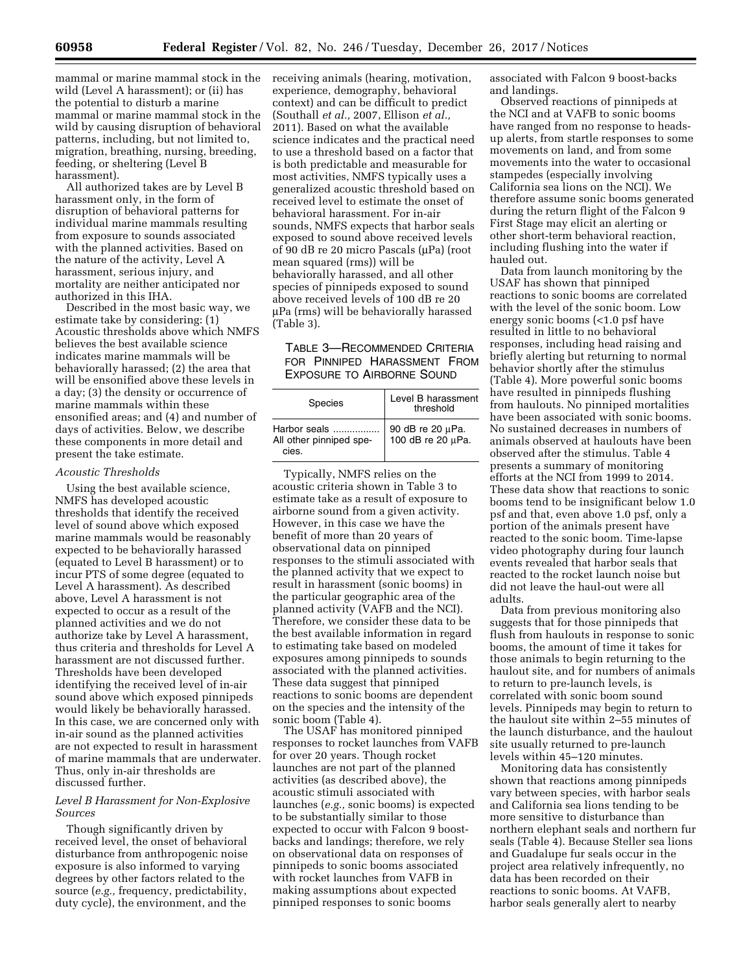mammal or marine mammal stock in the wild (Level A harassment); or (ii) has the potential to disturb a marine mammal or marine mammal stock in the wild by causing disruption of behavioral patterns, including, but not limited to, migration, breathing, nursing, breeding, feeding, or sheltering (Level B harassment).

All authorized takes are by Level B harassment only, in the form of disruption of behavioral patterns for individual marine mammals resulting from exposure to sounds associated with the planned activities. Based on the nature of the activity, Level A harassment, serious injury, and mortality are neither anticipated nor authorized in this IHA.

Described in the most basic way, we estimate take by considering: (1) Acoustic thresholds above which NMFS believes the best available science indicates marine mammals will be behaviorally harassed; (2) the area that will be ensonified above these levels in a day; (3) the density or occurrence of marine mammals within these ensonified areas; and (4) and number of days of activities. Below, we describe these components in more detail and present the take estimate.

#### *Acoustic Thresholds*

Using the best available science, NMFS has developed acoustic thresholds that identify the received level of sound above which exposed marine mammals would be reasonably expected to be behaviorally harassed (equated to Level B harassment) or to incur PTS of some degree (equated to Level A harassment). As described above, Level A harassment is not expected to occur as a result of the planned activities and we do not authorize take by Level A harassment, thus criteria and thresholds for Level A harassment are not discussed further. Thresholds have been developed identifying the received level of in-air sound above which exposed pinnipeds would likely be behaviorally harassed. In this case, we are concerned only with in-air sound as the planned activities are not expected to result in harassment of marine mammals that are underwater. Thus, only in-air thresholds are discussed further.

## *Level B Harassment for Non-Explosive Sources*

Though significantly driven by received level, the onset of behavioral disturbance from anthropogenic noise exposure is also informed to varying degrees by other factors related to the source (*e.g.,* frequency, predictability, duty cycle), the environment, and the

receiving animals (hearing, motivation, experience, demography, behavioral context) and can be difficult to predict (Southall *et al.,* 2007, Ellison *et al.,*  2011). Based on what the available science indicates and the practical need to use a threshold based on a factor that is both predictable and measurable for most activities, NMFS typically uses a generalized acoustic threshold based on received level to estimate the onset of behavioral harassment. For in-air sounds, NMFS expects that harbor seals exposed to sound above received levels of 90 dB re 20 micro Pascals (µPa) (root mean squared (rms)) will be behaviorally harassed, and all other species of pinnipeds exposed to sound above received levels of 100 dB re 20 mPa (rms) will be behaviorally harassed (Table 3).

## TABLE 3—RECOMMENDED CRITERIA FOR PINNIPED HARASSMENT FROM EXPOSURE TO AIRBORNE SOUND

| Species                                          | Level B harassment<br>threshold       |
|--------------------------------------------------|---------------------------------------|
| Harbor seals<br>All other pinniped spe-<br>cies. | 90 dB re 20 µPa.<br>100 dB re 20 µPa. |

Typically, NMFS relies on the acoustic criteria shown in Table 3 to estimate take as a result of exposure to airborne sound from a given activity. However, in this case we have the benefit of more than 20 years of observational data on pinniped responses to the stimuli associated with the planned activity that we expect to result in harassment (sonic booms) in the particular geographic area of the planned activity (VAFB and the NCI). Therefore, we consider these data to be the best available information in regard to estimating take based on modeled exposures among pinnipeds to sounds associated with the planned activities. These data suggest that pinniped reactions to sonic booms are dependent on the species and the intensity of the sonic boom (Table 4).

The USAF has monitored pinniped responses to rocket launches from VAFB for over 20 years. Though rocket launches are not part of the planned activities (as described above), the acoustic stimuli associated with launches (*e.g.,* sonic booms) is expected to be substantially similar to those expected to occur with Falcon 9 boostbacks and landings; therefore, we rely on observational data on responses of pinnipeds to sonic booms associated with rocket launches from VAFB in making assumptions about expected pinniped responses to sonic booms

associated with Falcon 9 boost-backs and landings.

Observed reactions of pinnipeds at the NCI and at VAFB to sonic booms have ranged from no response to headsup alerts, from startle responses to some movements on land, and from some movements into the water to occasional stampedes (especially involving California sea lions on the NCI). We therefore assume sonic booms generated during the return flight of the Falcon 9 First Stage may elicit an alerting or other short-term behavioral reaction, including flushing into the water if hauled out.

Data from launch monitoring by the USAF has shown that pinniped reactions to sonic booms are correlated with the level of the sonic boom. Low energy sonic booms (<1.0 psf have resulted in little to no behavioral responses, including head raising and briefly alerting but returning to normal behavior shortly after the stimulus (Table 4). More powerful sonic booms have resulted in pinnipeds flushing from haulouts. No pinniped mortalities have been associated with sonic booms. No sustained decreases in numbers of animals observed at haulouts have been observed after the stimulus. Table 4 presents a summary of monitoring efforts at the NCI from 1999 to 2014. These data show that reactions to sonic booms tend to be insignificant below 1.0 psf and that, even above 1.0 psf, only a portion of the animals present have reacted to the sonic boom. Time-lapse video photography during four launch events revealed that harbor seals that reacted to the rocket launch noise but did not leave the haul-out were all adults.

Data from previous monitoring also suggests that for those pinnipeds that flush from haulouts in response to sonic booms, the amount of time it takes for those animals to begin returning to the haulout site, and for numbers of animals to return to pre-launch levels, is correlated with sonic boom sound levels. Pinnipeds may begin to return to the haulout site within 2–55 minutes of the launch disturbance, and the haulout site usually returned to pre-launch levels within 45–120 minutes.

Monitoring data has consistently shown that reactions among pinnipeds vary between species, with harbor seals and California sea lions tending to be more sensitive to disturbance than northern elephant seals and northern fur seals (Table 4). Because Steller sea lions and Guadalupe fur seals occur in the project area relatively infrequently, no data has been recorded on their reactions to sonic booms. At VAFB, harbor seals generally alert to nearby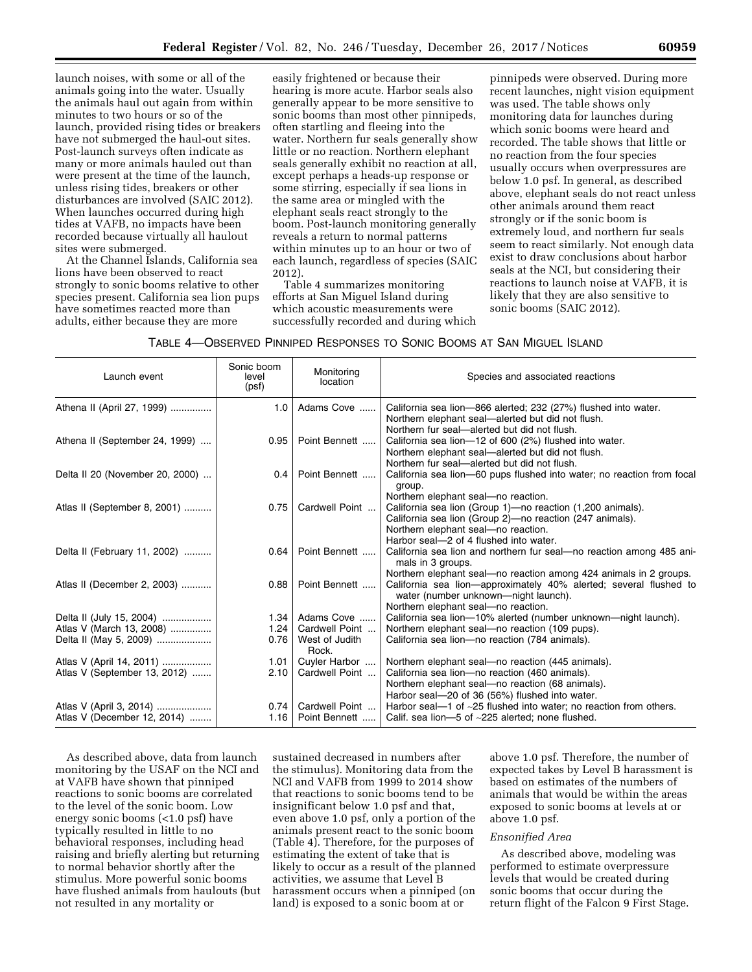launch noises, with some or all of the animals going into the water. Usually the animals haul out again from within minutes to two hours or so of the launch, provided rising tides or breakers have not submerged the haul-out sites. Post-launch surveys often indicate as many or more animals hauled out than were present at the time of the launch, unless rising tides, breakers or other disturbances are involved (SAIC 2012). When launches occurred during high tides at VAFB, no impacts have been recorded because virtually all haulout sites were submerged.

At the Channel Islands, California sea lions have been observed to react strongly to sonic booms relative to other species present. California sea lion pups have sometimes reacted more than adults, either because they are more

easily frightened or because their hearing is more acute. Harbor seals also generally appear to be more sensitive to sonic booms than most other pinnipeds, often startling and fleeing into the water. Northern fur seals generally show little or no reaction. Northern elephant seals generally exhibit no reaction at all, except perhaps a heads-up response or some stirring, especially if sea lions in the same area or mingled with the elephant seals react strongly to the boom. Post-launch monitoring generally reveals a return to normal patterns within minutes up to an hour or two of each launch, regardless of species (SAIC 2012).

Table 4 summarizes monitoring efforts at San Miguel Island during which acoustic measurements were successfully recorded and during which

pinnipeds were observed. During more recent launches, night vision equipment was used. The table shows only monitoring data for launches during which sonic booms were heard and recorded. The table shows that little or no reaction from the four species usually occurs when overpressures are below 1.0 psf. In general, as described above, elephant seals do not react unless other animals around them react strongly or if the sonic boom is extremely loud, and northern fur seals seem to react similarly. Not enough data exist to draw conclusions about harbor seals at the NCI, but considering their reactions to launch noise at VAFB, it is likely that they are also sensitive to sonic booms (SAIC 2012).

TABLE 4—OBSERVED PINNIPED RESPONSES TO SONIC BOOMS AT SAN MIGUEL ISLAND

| Launch event                    | Sonic boom<br>level<br>(psf) | Monitoring<br>location  | Species and associated reactions                                                                                                                                                                                                               |
|---------------------------------|------------------------------|-------------------------|------------------------------------------------------------------------------------------------------------------------------------------------------------------------------------------------------------------------------------------------|
| Athena II (April 27, 1999)      | 1.0                          | Adams Cove              | California sea lion-866 alerted; 232 (27%) flushed into water.<br>Northern elephant seal-alerted but did not flush.<br>Northern fur seal—alerted but did not flush.                                                                            |
| Athena II (September 24, 1999)  | 0.95                         | Point Bennett           | California sea lion-12 of 600 (2%) flushed into water.<br>Northern elephant seal-alerted but did not flush.<br>Northern fur seal-alerted but did not flush.                                                                                    |
| Delta II 20 (November 20, 2000) | 0.4                          | Point Bennett           | California sea lion-60 pups flushed into water; no reaction from focal<br>group.                                                                                                                                                               |
| Atlas II (September 8, 2001)    | 0.75                         | Cardwell Point          | Northern elephant seal-no reaction.<br>California sea lion (Group 1)-no reaction (1,200 animals).<br>California sea lion (Group 2)-no reaction (247 animals).<br>Northern elephant seal-no reaction.<br>Harbor seal-2 of 4 flushed into water. |
| Delta II (February 11, 2002)    | 0.64                         | Point Bennett           | California sea lion and northern fur seal-no reaction among 485 ani-<br>mals in 3 groups.                                                                                                                                                      |
| Atlas II (December 2, 2003)     |                              | $0.88$   Point Bennett  | Northern elephant seal—no reaction among 424 animals in 2 groups.<br>California sea lion—approximately 40% alerted; several flushed to<br>water (number unknown—night launch).<br>Northern elephant seal-no reaction.                          |
| Delta II (July 15, 2004)        | 1.34                         | Adams Cove              | California sea lion-10% alerted (number unknown-night launch).                                                                                                                                                                                 |
| Atlas V (March 13, 2008)        | 1.24                         | Cardwell Point          | Northern elephant seal-no reaction (109 pups).                                                                                                                                                                                                 |
| Delta II (May 5, 2009)          | 0.76                         | West of Judith<br>Rock. | California sea lion-no reaction (784 animals).                                                                                                                                                                                                 |
| Atlas V (April 14, 2011)        | 1.01                         | Cuyler Harbor           | Northern elephant seal-no reaction (445 animals).                                                                                                                                                                                              |
| Atlas V (September 13, 2012)    | 2.10                         | Cardwell Point          | California sea lion-no reaction (460 animals).<br>Northern elephant seal-no reaction (68 animals).<br>Harbor seal-20 of 36 (56%) flushed into water.                                                                                           |
| Atlas V (April 3, 2014)         | 0.74                         | Cardwell Point          | Harbor seal—1 of $\sim$ 25 flushed into water; no reaction from others.                                                                                                                                                                        |
| Atlas V (December 12, 2014)     | 1.16                         | Point Bennett           | Calif. sea lion- $-5$ of $\sim$ 225 alerted; none flushed.                                                                                                                                                                                     |

As described above, data from launch monitoring by the USAF on the NCI and at VAFB have shown that pinniped reactions to sonic booms are correlated to the level of the sonic boom. Low energy sonic booms (<1.0 psf) have typically resulted in little to no behavioral responses, including head raising and briefly alerting but returning to normal behavior shortly after the stimulus. More powerful sonic booms have flushed animals from haulouts (but not resulted in any mortality or

sustained decreased in numbers after the stimulus). Monitoring data from the NCI and VAFB from 1999 to 2014 show that reactions to sonic booms tend to be insignificant below 1.0 psf and that, even above 1.0 psf, only a portion of the animals present react to the sonic boom (Table 4). Therefore, for the purposes of estimating the extent of take that is likely to occur as a result of the planned activities, we assume that Level B harassment occurs when a pinniped (on land) is exposed to a sonic boom at or

above 1.0 psf. Therefore, the number of expected takes by Level B harassment is based on estimates of the numbers of animals that would be within the areas exposed to sonic booms at levels at or above 1.0 psf.

#### *Ensonified Area*

As described above, modeling was performed to estimate overpressure levels that would be created during sonic booms that occur during the return flight of the Falcon 9 First Stage.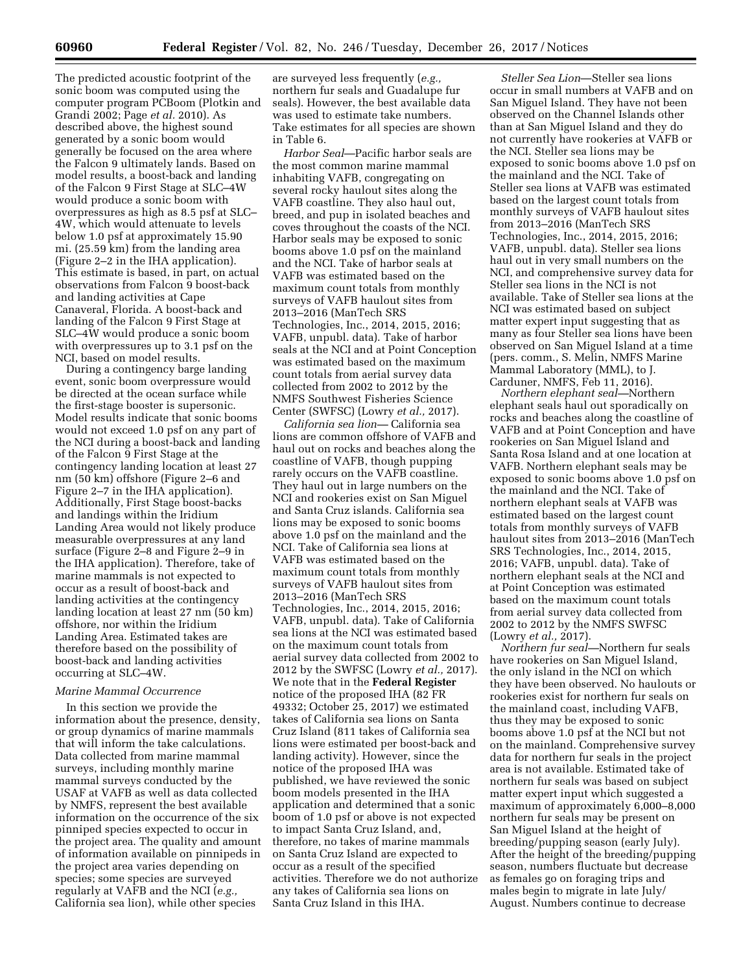The predicted acoustic footprint of the sonic boom was computed using the computer program PCBoom (Plotkin and Grandi 2002; Page *et al.* 2010). As described above, the highest sound generated by a sonic boom would generally be focused on the area where the Falcon 9 ultimately lands. Based on model results, a boost-back and landing of the Falcon 9 First Stage at SLC–4W would produce a sonic boom with overpressures as high as 8.5 psf at SLC– 4W, which would attenuate to levels below 1.0 psf at approximately 15.90 mi. (25.59 km) from the landing area (Figure 2–2 in the IHA application). This estimate is based, in part, on actual observations from Falcon 9 boost-back and landing activities at Cape Canaveral, Florida. A boost-back and landing of the Falcon 9 First Stage at SLC–4W would produce a sonic boom with overpressures up to 3.1 psf on the NCI, based on model results.

During a contingency barge landing event, sonic boom overpressure would be directed at the ocean surface while the first-stage booster is supersonic. Model results indicate that sonic booms would not exceed 1.0 psf on any part of the NCI during a boost-back and landing of the Falcon 9 First Stage at the contingency landing location at least 27 nm (50 km) offshore (Figure 2–6 and Figure 2–7 in the IHA application). Additionally, First Stage boost-backs and landings within the Iridium Landing Area would not likely produce measurable overpressures at any land surface (Figure 2–8 and Figure 2–9 in the IHA application). Therefore, take of marine mammals is not expected to occur as a result of boost-back and landing activities at the contingency landing location at least 27 nm (50 km) offshore, nor within the Iridium Landing Area. Estimated takes are therefore based on the possibility of boost-back and landing activities occurring at SLC–4W.

#### *Marine Mammal Occurrence*

In this section we provide the information about the presence, density, or group dynamics of marine mammals that will inform the take calculations. Data collected from marine mammal surveys, including monthly marine mammal surveys conducted by the USAF at VAFB as well as data collected by NMFS, represent the best available information on the occurrence of the six pinniped species expected to occur in the project area. The quality and amount of information available on pinnipeds in the project area varies depending on species; some species are surveyed regularly at VAFB and the NCI (*e.g.,*  California sea lion), while other species

are surveyed less frequently (*e.g.,*  northern fur seals and Guadalupe fur seals). However, the best available data was used to estimate take numbers. Take estimates for all species are shown in Table 6.

*Harbor Seal*—Pacific harbor seals are the most common marine mammal inhabiting VAFB, congregating on several rocky haulout sites along the VAFB coastline. They also haul out, breed, and pup in isolated beaches and coves throughout the coasts of the NCI. Harbor seals may be exposed to sonic booms above 1.0 psf on the mainland and the NCI. Take of harbor seals at VAFB was estimated based on the maximum count totals from monthly surveys of VAFB haulout sites from 2013–2016 (ManTech SRS Technologies, Inc., 2014, 2015, 2016; VAFB, unpubl. data). Take of harbor seals at the NCI and at Point Conception was estimated based on the maximum count totals from aerial survey data collected from 2002 to 2012 by the NMFS Southwest Fisheries Science Center (SWFSC) (Lowry *et al.,* 2017).

*California sea lion—* California sea lions are common offshore of VAFB and haul out on rocks and beaches along the coastline of VAFB, though pupping rarely occurs on the VAFB coastline. They haul out in large numbers on the NCI and rookeries exist on San Miguel and Santa Cruz islands. California sea lions may be exposed to sonic booms above 1.0 psf on the mainland and the NCI. Take of California sea lions at VAFB was estimated based on the maximum count totals from monthly surveys of VAFB haulout sites from 2013–2016 (ManTech SRS Technologies, Inc., 2014, 2015, 2016; VAFB, unpubl. data). Take of California sea lions at the NCI was estimated based on the maximum count totals from aerial survey data collected from 2002 to 2012 by the SWFSC (Lowry *et al.,* 2017). We note that in the **Federal Register**  notice of the proposed IHA (82 FR 49332; October 25, 2017) we estimated takes of California sea lions on Santa Cruz Island (811 takes of California sea lions were estimated per boost-back and landing activity). However, since the notice of the proposed IHA was published, we have reviewed the sonic boom models presented in the IHA application and determined that a sonic boom of 1.0 psf or above is not expected to impact Santa Cruz Island, and, therefore, no takes of marine mammals on Santa Cruz Island are expected to occur as a result of the specified activities. Therefore we do not authorize any takes of California sea lions on Santa Cruz Island in this IHA.

*Steller Sea Lion*—Steller sea lions occur in small numbers at VAFB and on San Miguel Island. They have not been observed on the Channel Islands other than at San Miguel Island and they do not currently have rookeries at VAFB or the NCI. Steller sea lions may be exposed to sonic booms above 1.0 psf on the mainland and the NCI. Take of Steller sea lions at VAFB was estimated based on the largest count totals from monthly surveys of VAFB haulout sites from 2013–2016 (ManTech SRS Technologies, Inc., 2014, 2015, 2016; VAFB, unpubl. data). Steller sea lions haul out in very small numbers on the NCI, and comprehensive survey data for Steller sea lions in the NCI is not available. Take of Steller sea lions at the NCI was estimated based on subject matter expert input suggesting that as many as four Steller sea lions have been observed on San Miguel Island at a time (pers. comm., S. Melin, NMFS Marine Mammal Laboratory (MML), to J. Carduner, NMFS, Feb 11, 2016).

*Northern elephant seal—*Northern elephant seals haul out sporadically on rocks and beaches along the coastline of VAFB and at Point Conception and have rookeries on San Miguel Island and Santa Rosa Island and at one location at VAFB. Northern elephant seals may be exposed to sonic booms above 1.0 psf on the mainland and the NCI. Take of northern elephant seals at VAFB was estimated based on the largest count totals from monthly surveys of VAFB haulout sites from 2013–2016 (ManTech SRS Technologies, Inc., 2014, 2015, 2016; VAFB, unpubl. data). Take of northern elephant seals at the NCI and at Point Conception was estimated based on the maximum count totals from aerial survey data collected from 2002 to 2012 by the NMFS SWFSC (Lowry *et al.,* 2017).

*Northern fur seal—*Northern fur seals have rookeries on San Miguel Island, the only island in the NCI on which they have been observed. No haulouts or rookeries exist for northern fur seals on the mainland coast, including VAFB, thus they may be exposed to sonic booms above 1.0 psf at the NCI but not on the mainland. Comprehensive survey data for northern fur seals in the project area is not available. Estimated take of northern fur seals was based on subject matter expert input which suggested a maximum of approximately 6,000–8,000 northern fur seals may be present on San Miguel Island at the height of breeding/pupping season (early July). After the height of the breeding/pupping season, numbers fluctuate but decrease as females go on foraging trips and males begin to migrate in late July/ August. Numbers continue to decrease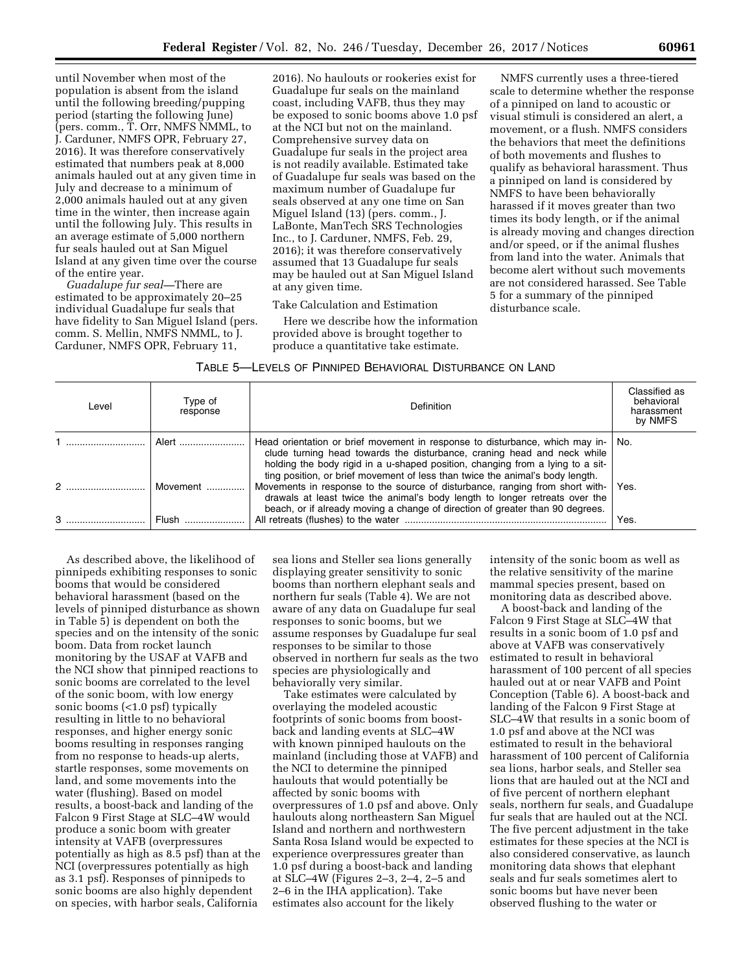until November when most of the population is absent from the island until the following breeding/pupping period (starting the following June) (pers. comm., T. Orr, NMFS NMML, to J. Carduner, NMFS OPR, February 27, 2016). It was therefore conservatively estimated that numbers peak at 8,000 animals hauled out at any given time in July and decrease to a minimum of 2,000 animals hauled out at any given time in the winter, then increase again until the following July. This results in an average estimate of 5,000 northern fur seals hauled out at San Miguel Island at any given time over the course of the entire year.

*Guadalupe fur seal—*There are estimated to be approximately 20–25 individual Guadalupe fur seals that have fidelity to San Miguel Island (pers. comm. S. Mellin, NMFS NMML, to J. Carduner, NMFS OPR, February 11,

2016). No haulouts or rookeries exist for Guadalupe fur seals on the mainland coast, including VAFB, thus they may be exposed to sonic booms above 1.0 psf at the NCI but not on the mainland. Comprehensive survey data on Guadalupe fur seals in the project area is not readily available. Estimated take of Guadalupe fur seals was based on the maximum number of Guadalupe fur seals observed at any one time on San Miguel Island (13) (pers. comm., J. LaBonte, ManTech SRS Technologies Inc., to J. Carduner, NMFS, Feb. 29, 2016); it was therefore conservatively assumed that 13 Guadalupe fur seals may be hauled out at San Miguel Island at any given time.

#### Take Calculation and Estimation

Here we describe how the information provided above is brought together to produce a quantitative take estimate.

NMFS currently uses a three-tiered scale to determine whether the response of a pinniped on land to acoustic or visual stimuli is considered an alert, a movement, or a flush. NMFS considers the behaviors that meet the definitions of both movements and flushes to qualify as behavioral harassment. Thus a pinniped on land is considered by NMFS to have been behaviorally harassed if it moves greater than two times its body length, or if the animal is already moving and changes direction and/or speed, or if the animal flushes from land into the water. Animals that become alert without such movements are not considered harassed. See Table 5 for a summary of the pinniped disturbance scale.

#### TABLE 5—LEVELS OF PINNIPED BEHAVIORAL DISTURBANCE ON LAND

| Level | Type of<br>response | Definition                                                                                                                                                                                                                                                                                                                 | Classified as<br>behavioral<br>harassment<br>by NMFS |
|-------|---------------------|----------------------------------------------------------------------------------------------------------------------------------------------------------------------------------------------------------------------------------------------------------------------------------------------------------------------------|------------------------------------------------------|
|       | Alert               | Head orientation or brief movement in response to disturbance, which may in-<br>clude turning head towards the disturbance, craning head and neck while<br>holding the body rigid in a u-shaped position, changing from a lying to a sit-<br>ting position, or brief movement of less than twice the animal's body length. | No.                                                  |
|       | Movement<br>Flush   | Movements in response to the source of disturbance, ranging from short with-<br>drawals at least twice the animal's body length to longer retreats over the<br>beach, or if already moving a change of direction of greater than 90 degrees.                                                                               | Yes.<br>Yes.                                         |

As described above, the likelihood of pinnipeds exhibiting responses to sonic booms that would be considered behavioral harassment (based on the levels of pinniped disturbance as shown in Table 5) is dependent on both the species and on the intensity of the sonic boom. Data from rocket launch monitoring by the USAF at VAFB and the NCI show that pinniped reactions to sonic booms are correlated to the level of the sonic boom, with low energy sonic booms (<1.0 psf) typically resulting in little to no behavioral responses, and higher energy sonic booms resulting in responses ranging from no response to heads-up alerts, startle responses, some movements on land, and some movements into the water (flushing). Based on model results, a boost-back and landing of the Falcon 9 First Stage at SLC–4W would produce a sonic boom with greater intensity at VAFB (overpressures potentially as high as 8.5 psf) than at the NCI (overpressures potentially as high as 3.1 psf). Responses of pinnipeds to sonic booms are also highly dependent on species, with harbor seals, California

sea lions and Steller sea lions generally displaying greater sensitivity to sonic booms than northern elephant seals and northern fur seals (Table 4). We are not aware of any data on Guadalupe fur seal responses to sonic booms, but we assume responses by Guadalupe fur seal responses to be similar to those observed in northern fur seals as the two species are physiologically and behaviorally very similar.

Take estimates were calculated by overlaying the modeled acoustic footprints of sonic booms from boostback and landing events at SLC–4W with known pinniped haulouts on the mainland (including those at VAFB) and the NCI to determine the pinniped haulouts that would potentially be affected by sonic booms with overpressures of 1.0 psf and above. Only haulouts along northeastern San Miguel Island and northern and northwestern Santa Rosa Island would be expected to experience overpressures greater than 1.0 psf during a boost-back and landing at SLC–4W (Figures 2–3, 2–4, 2–5 and 2–6 in the IHA application). Take estimates also account for the likely

intensity of the sonic boom as well as the relative sensitivity of the marine mammal species present, based on monitoring data as described above.

A boost-back and landing of the Falcon 9 First Stage at SLC–4W that results in a sonic boom of 1.0 psf and above at VAFB was conservatively estimated to result in behavioral harassment of 100 percent of all species hauled out at or near VAFB and Point Conception (Table 6). A boost-back and landing of the Falcon 9 First Stage at SLC–4W that results in a sonic boom of 1.0 psf and above at the NCI was estimated to result in the behavioral harassment of 100 percent of California sea lions, harbor seals, and Steller sea lions that are hauled out at the NCI and of five percent of northern elephant seals, northern fur seals, and Guadalupe fur seals that are hauled out at the NCI. The five percent adjustment in the take estimates for these species at the NCI is also considered conservative, as launch monitoring data shows that elephant seals and fur seals sometimes alert to sonic booms but have never been observed flushing to the water or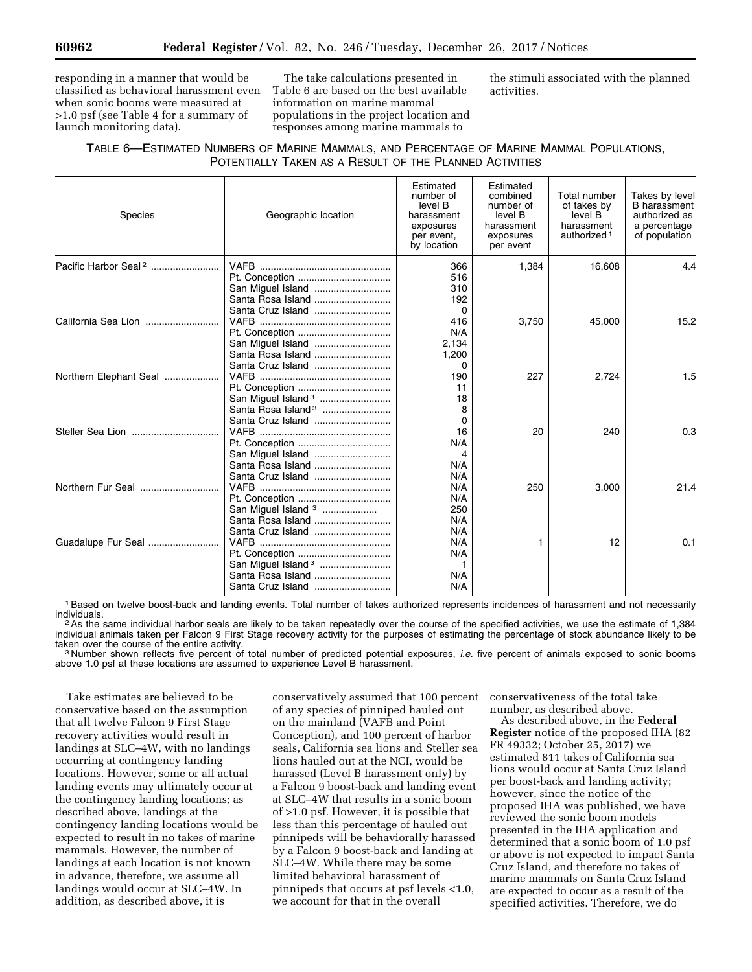responding in a manner that would be classified as behavioral harassment even when sonic booms were measured at >1.0 psf (see Table 4 for a summary of launch monitoring data).

The take calculations presented in Table 6 are based on the best available information on marine mammal populations in the project location and responses among marine mammals to

the stimuli associated with the planned activities.

## TABLE 6—ESTIMATED NUMBERS OF MARINE MAMMALS, AND PERCENTAGE OF MARINE MAMMAL POPULATIONS, POTENTIALLY TAKEN AS A RESULT OF THE PLANNED ACTIVITIES

| <b>Species</b>                   | Geographic location                                                                   | Estimated<br>number of<br>level B<br>harassment<br>exposures<br>per event,<br>by location | Estimated<br>combined<br>number of<br>level B<br>harassment<br>exposures<br>per event | Total number<br>of takes by<br>level B<br>harassment<br>authorized <sup>1</sup> | Takes by level<br><b>B</b> harassment<br>authorized as<br>a percentage<br>of population |
|----------------------------------|---------------------------------------------------------------------------------------|-------------------------------------------------------------------------------------------|---------------------------------------------------------------------------------------|---------------------------------------------------------------------------------|-----------------------------------------------------------------------------------------|
| Pacific Harbor Seal <sup>2</sup> | Santa Rosa Island                                                                     | 366<br>516<br>310<br>192                                                                  | 1,384                                                                                 | 16,608                                                                          | 4.4                                                                                     |
|                                  | Santa Cruz Island<br>San Miguel Island<br>Santa Rosa Island                           | 0<br>416<br>N/A<br>2,134<br>1,200                                                         | 3,750                                                                                 | 45,000                                                                          | 15.2                                                                                    |
| Northern Elephant Seal           | Santa Cruz Island<br>San Miguel Island <sup>3</sup><br>Santa Rosa Island <sup>3</sup> | $\Omega$<br>190<br>11<br>18<br>8                                                          | 227                                                                                   | 2,724                                                                           | 1.5                                                                                     |
|                                  | Santa Cruz Island<br>Santa Rosa Island                                                | $\Omega$<br>16<br>N/A<br>4<br>N/A                                                         | 20                                                                                    | 240                                                                             | 0.3                                                                                     |
| Northern Fur Seal                | Santa Cruz Island<br>San Miguel Island <sup>3</sup><br>Santa Rosa Island              | N/A<br>N/A<br>N/A<br>250<br>N/A                                                           | 250                                                                                   | 3,000                                                                           | 21.4                                                                                    |
| Guadalupe Fur Seal               | Santa Cruz Island<br>Santa Rosa Island<br>Santa Cruz Island                           | N/A<br>N/A<br>N/A<br>1<br>N/A<br>N/A                                                      | 1                                                                                     | 12                                                                              | 0.1                                                                                     |

<sup>1</sup> Based on twelve boost-back and landing events. Total number of takes authorized represents incidences of harassment and not necessarily individuals.

<sup>2</sup>As the same individual harbor seals are likely to be taken repeatedly over the course of the specified activities, we use the estimate of 1,384 individual animals taken per Falcon 9 First Stage recovery activity for the purposes of estimating the percentage of stock abundance likely to be<br>taken over the course of the entire activity.

<sup>3</sup> Number shown reflects five percent of total number of predicted potential exposures, *i.e.* five percent of animals exposed to sonic booms above 1.0 psf at these locations are assumed to experience Level B harassment.

Take estimates are believed to be conservative based on the assumption that all twelve Falcon 9 First Stage recovery activities would result in landings at SLC–4W, with no landings occurring at contingency landing locations. However, some or all actual landing events may ultimately occur at the contingency landing locations; as described above, landings at the contingency landing locations would be expected to result in no takes of marine mammals. However, the number of landings at each location is not known in advance, therefore, we assume all landings would occur at SLC–4W. In addition, as described above, it is

conservatively assumed that 100 percent of any species of pinniped hauled out on the mainland (VAFB and Point Conception), and 100 percent of harbor seals, California sea lions and Steller sea lions hauled out at the NCI, would be harassed (Level B harassment only) by a Falcon 9 boost-back and landing event at SLC–4W that results in a sonic boom of >1.0 psf. However, it is possible that less than this percentage of hauled out pinnipeds will be behaviorally harassed by a Falcon 9 boost-back and landing at SLC–4W. While there may be some limited behavioral harassment of pinnipeds that occurs at psf levels <1.0, we account for that in the overall

conservativeness of the total take number, as described above.

As described above, in the **Federal Register** notice of the proposed IHA (82 FR 49332; October 25, 2017) we estimated 811 takes of California sea lions would occur at Santa Cruz Island per boost-back and landing activity; however, since the notice of the proposed IHA was published, we have reviewed the sonic boom models presented in the IHA application and determined that a sonic boom of 1.0 psf or above is not expected to impact Santa Cruz Island, and therefore no takes of marine mammals on Santa Cruz Island are expected to occur as a result of the specified activities. Therefore, we do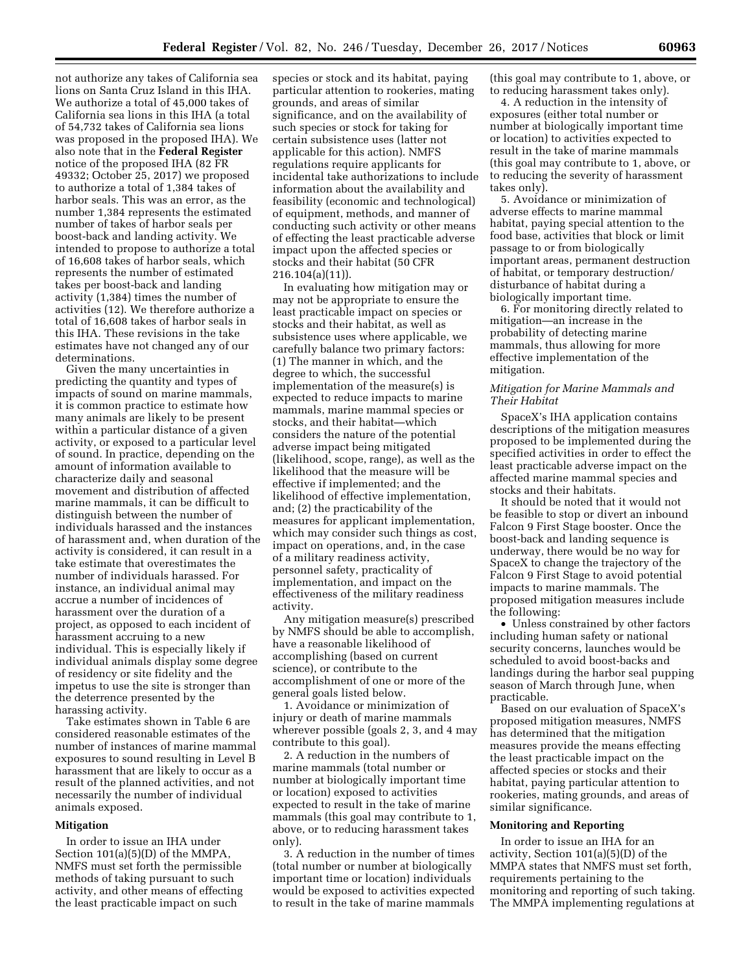not authorize any takes of California sea lions on Santa Cruz Island in this IHA. We authorize a total of 45,000 takes of California sea lions in this IHA (a total of 54,732 takes of California sea lions was proposed in the proposed IHA). We also note that in the **Federal Register**  notice of the proposed IHA (82 FR 49332; October 25, 2017) we proposed to authorize a total of 1,384 takes of harbor seals. This was an error, as the number 1,384 represents the estimated number of takes of harbor seals per boost-back and landing activity. We intended to propose to authorize a total of 16,608 takes of harbor seals, which represents the number of estimated takes per boost-back and landing activity (1,384) times the number of activities (12). We therefore authorize a total of 16,608 takes of harbor seals in this IHA. These revisions in the take estimates have not changed any of our determinations.

Given the many uncertainties in predicting the quantity and types of impacts of sound on marine mammals, it is common practice to estimate how many animals are likely to be present within a particular distance of a given activity, or exposed to a particular level of sound. In practice, depending on the amount of information available to characterize daily and seasonal movement and distribution of affected marine mammals, it can be difficult to distinguish between the number of individuals harassed and the instances of harassment and, when duration of the activity is considered, it can result in a take estimate that overestimates the number of individuals harassed. For instance, an individual animal may accrue a number of incidences of harassment over the duration of a project, as opposed to each incident of harassment accruing to a new individual. This is especially likely if individual animals display some degree of residency or site fidelity and the impetus to use the site is stronger than the deterrence presented by the harassing activity.

Take estimates shown in Table 6 are considered reasonable estimates of the number of instances of marine mammal exposures to sound resulting in Level B harassment that are likely to occur as a result of the planned activities, and not necessarily the number of individual animals exposed.

#### **Mitigation**

In order to issue an IHA under Section 101(a)(5)(D) of the MMPA, NMFS must set forth the permissible methods of taking pursuant to such activity, and other means of effecting the least practicable impact on such

species or stock and its habitat, paying particular attention to rookeries, mating grounds, and areas of similar significance, and on the availability of such species or stock for taking for certain subsistence uses (latter not applicable for this action). NMFS regulations require applicants for incidental take authorizations to include information about the availability and feasibility (economic and technological) of equipment, methods, and manner of conducting such activity or other means of effecting the least practicable adverse impact upon the affected species or stocks and their habitat (50 CFR 216.104(a)(11)).

In evaluating how mitigation may or may not be appropriate to ensure the least practicable impact on species or stocks and their habitat, as well as subsistence uses where applicable, we carefully balance two primary factors: (1) The manner in which, and the degree to which, the successful implementation of the measure(s) is expected to reduce impacts to marine mammals, marine mammal species or stocks, and their habitat—which considers the nature of the potential adverse impact being mitigated (likelihood, scope, range), as well as the likelihood that the measure will be effective if implemented; and the likelihood of effective implementation, and; (2) the practicability of the measures for applicant implementation, which may consider such things as cost, impact on operations, and, in the case of a military readiness activity, personnel safety, practicality of implementation, and impact on the effectiveness of the military readiness activity.

Any mitigation measure(s) prescribed by NMFS should be able to accomplish, have a reasonable likelihood of accomplishing (based on current science), or contribute to the accomplishment of one or more of the general goals listed below.

1. Avoidance or minimization of injury or death of marine mammals wherever possible (goals 2, 3, and 4 may contribute to this goal).

2. A reduction in the numbers of marine mammals (total number or number at biologically important time or location) exposed to activities expected to result in the take of marine mammals (this goal may contribute to 1, above, or to reducing harassment takes only).

3. A reduction in the number of times (total number or number at biologically important time or location) individuals would be exposed to activities expected to result in the take of marine mammals

(this goal may contribute to 1, above, or to reducing harassment takes only).

4. A reduction in the intensity of exposures (either total number or number at biologically important time or location) to activities expected to result in the take of marine mammals (this goal may contribute to 1, above, or to reducing the severity of harassment takes only).

5. Avoidance or minimization of adverse effects to marine mammal habitat, paying special attention to the food base, activities that block or limit passage to or from biologically important areas, permanent destruction of habitat, or temporary destruction/ disturbance of habitat during a biologically important time.

6. For monitoring directly related to mitigation—an increase in the probability of detecting marine mammals, thus allowing for more effective implementation of the mitigation.

#### *Mitigation for Marine Mammals and Their Habitat*

SpaceX's IHA application contains descriptions of the mitigation measures proposed to be implemented during the specified activities in order to effect the least practicable adverse impact on the affected marine mammal species and stocks and their habitats.

It should be noted that it would not be feasible to stop or divert an inbound Falcon 9 First Stage booster. Once the boost-back and landing sequence is underway, there would be no way for SpaceX to change the trajectory of the Falcon 9 First Stage to avoid potential impacts to marine mammals. The proposed mitigation measures include the following:

• Unless constrained by other factors including human safety or national security concerns, launches would be scheduled to avoid boost-backs and landings during the harbor seal pupping season of March through June, when practicable.

Based on our evaluation of SpaceX's proposed mitigation measures, NMFS has determined that the mitigation measures provide the means effecting the least practicable impact on the affected species or stocks and their habitat, paying particular attention to rookeries, mating grounds, and areas of similar significance.

#### **Monitoring and Reporting**

In order to issue an IHA for an activity, Section 101(a)(5)(D) of the MMPA states that NMFS must set forth, requirements pertaining to the monitoring and reporting of such taking. The MMPA implementing regulations at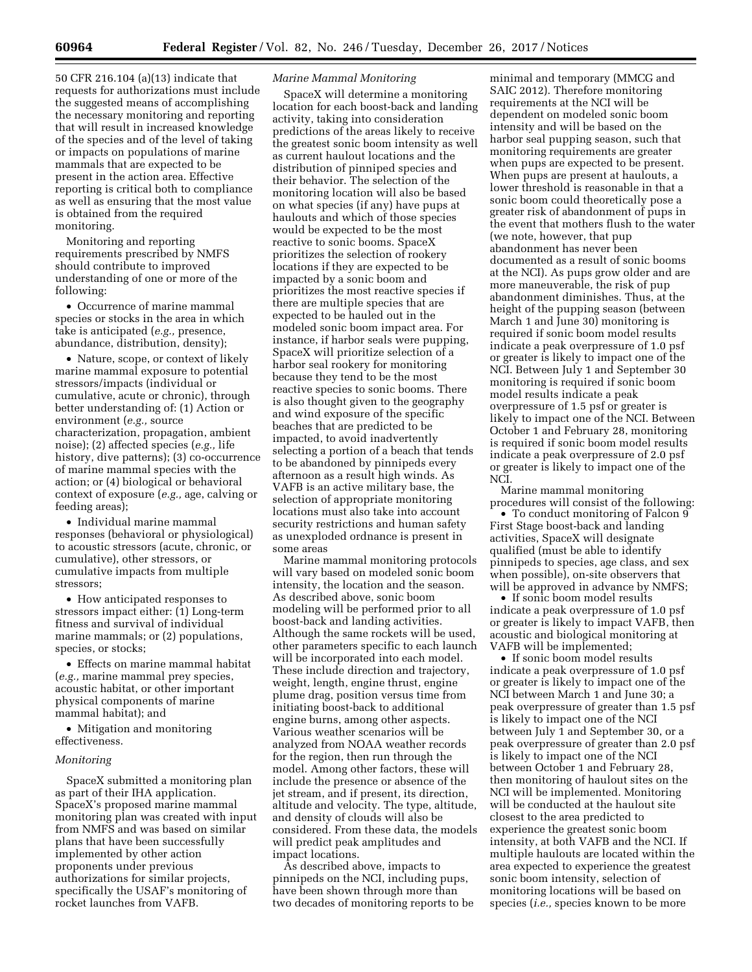50 CFR 216.104 (a)(13) indicate that requests for authorizations must include the suggested means of accomplishing the necessary monitoring and reporting that will result in increased knowledge of the species and of the level of taking or impacts on populations of marine mammals that are expected to be present in the action area. Effective reporting is critical both to compliance as well as ensuring that the most value is obtained from the required monitoring.

Monitoring and reporting requirements prescribed by NMFS should contribute to improved understanding of one or more of the following:

• Occurrence of marine mammal species or stocks in the area in which take is anticipated (*e.g.,* presence, abundance, distribution, density);

• Nature, scope, or context of likely marine mammal exposure to potential stressors/impacts (individual or cumulative, acute or chronic), through better understanding of: (1) Action or environment (*e.g.,* source characterization, propagation, ambient noise); (2) affected species (*e.g.,* life history, dive patterns); (3) co-occurrence of marine mammal species with the action; or (4) biological or behavioral context of exposure (*e.g.,* age, calving or feeding areas);

• Individual marine mammal responses (behavioral or physiological) to acoustic stressors (acute, chronic, or cumulative), other stressors, or cumulative impacts from multiple stressors;

• How anticipated responses to stressors impact either: (1) Long-term fitness and survival of individual marine mammals; or (2) populations, species, or stocks;

• Effects on marine mammal habitat (*e.g.,* marine mammal prey species, acoustic habitat, or other important physical components of marine mammal habitat); and

• Mitigation and monitoring effectiveness.

#### *Monitoring*

SpaceX submitted a monitoring plan as part of their IHA application. SpaceX's proposed marine mammal monitoring plan was created with input from NMFS and was based on similar plans that have been successfully implemented by other action proponents under previous authorizations for similar projects, specifically the USAF's monitoring of rocket launches from VAFB.

## *Marine Mammal Monitoring*

SpaceX will determine a monitoring location for each boost-back and landing activity, taking into consideration predictions of the areas likely to receive the greatest sonic boom intensity as well as current haulout locations and the distribution of pinniped species and their behavior. The selection of the monitoring location will also be based on what species (if any) have pups at haulouts and which of those species would be expected to be the most reactive to sonic booms. SpaceX prioritizes the selection of rookery locations if they are expected to be impacted by a sonic boom and prioritizes the most reactive species if there are multiple species that are expected to be hauled out in the modeled sonic boom impact area. For instance, if harbor seals were pupping, SpaceX will prioritize selection of a harbor seal rookery for monitoring because they tend to be the most reactive species to sonic booms. There is also thought given to the geography and wind exposure of the specific beaches that are predicted to be impacted, to avoid inadvertently selecting a portion of a beach that tends to be abandoned by pinnipeds every afternoon as a result high winds. As VAFB is an active military base, the selection of appropriate monitoring locations must also take into account security restrictions and human safety as unexploded ordnance is present in some areas

Marine mammal monitoring protocols will vary based on modeled sonic boom intensity, the location and the season. As described above, sonic boom modeling will be performed prior to all boost-back and landing activities. Although the same rockets will be used, other parameters specific to each launch will be incorporated into each model. These include direction and trajectory, weight, length, engine thrust, engine plume drag, position versus time from initiating boost-back to additional engine burns, among other aspects. Various weather scenarios will be analyzed from NOAA weather records for the region, then run through the model. Among other factors, these will include the presence or absence of the jet stream, and if present, its direction, altitude and velocity. The type, altitude, and density of clouds will also be considered. From these data, the models will predict peak amplitudes and impact locations.

As described above, impacts to pinnipeds on the NCI, including pups, have been shown through more than two decades of monitoring reports to be

minimal and temporary (MMCG and SAIC 2012). Therefore monitoring requirements at the NCI will be dependent on modeled sonic boom intensity and will be based on the harbor seal pupping season, such that monitoring requirements are greater when pups are expected to be present. When pups are present at haulouts, a lower threshold is reasonable in that a sonic boom could theoretically pose a greater risk of abandonment of pups in the event that mothers flush to the water (we note, however, that pup abandonment has never been documented as a result of sonic booms at the NCI). As pups grow older and are more maneuverable, the risk of pup abandonment diminishes. Thus, at the height of the pupping season (between March 1 and June 30) monitoring is required if sonic boom model results indicate a peak overpressure of 1.0 psf or greater is likely to impact one of the NCI. Between July 1 and September 30 monitoring is required if sonic boom model results indicate a peak overpressure of 1.5 psf or greater is likely to impact one of the NCI. Between October 1 and February 28, monitoring is required if sonic boom model results indicate a peak overpressure of 2.0 psf or greater is likely to impact one of the NCI.

Marine mammal monitoring procedures will consist of the following:

• To conduct monitoring of Falcon 9 First Stage boost-back and landing activities, SpaceX will designate qualified (must be able to identify pinnipeds to species, age class, and sex when possible), on-site observers that will be approved in advance by NMFS;

• If sonic boom model results indicate a peak overpressure of 1.0 psf or greater is likely to impact VAFB, then acoustic and biological monitoring at VAFB will be implemented;

• If sonic boom model results indicate a peak overpressure of 1.0 psf or greater is likely to impact one of the NCI between March 1 and June 30; a peak overpressure of greater than 1.5 psf is likely to impact one of the NCI between July 1 and September 30, or a peak overpressure of greater than 2.0 psf is likely to impact one of the NCI between October 1 and February 28, then monitoring of haulout sites on the NCI will be implemented. Monitoring will be conducted at the haulout site closest to the area predicted to experience the greatest sonic boom intensity, at both VAFB and the NCI. If multiple haulouts are located within the area expected to experience the greatest sonic boom intensity, selection of monitoring locations will be based on species (*i.e.,* species known to be more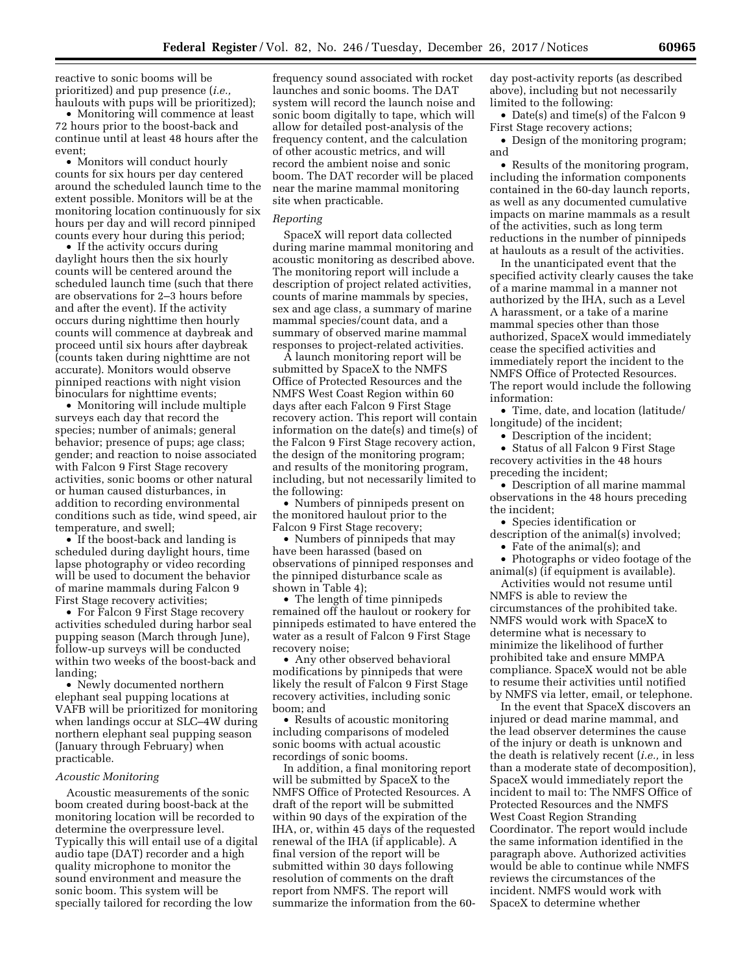reactive to sonic booms will be prioritized) and pup presence (*i.e.,*  haulouts with pups will be prioritized);

• Monitoring will commence at least 72 hours prior to the boost-back and continue until at least 48 hours after the event;

• Monitors will conduct hourly counts for six hours per day centered around the scheduled launch time to the extent possible. Monitors will be at the monitoring location continuously for six hours per day and will record pinniped counts every hour during this period;

• If the activity occurs during daylight hours then the six hourly counts will be centered around the scheduled launch time (such that there are observations for 2–3 hours before and after the event). If the activity occurs during nighttime then hourly counts will commence at daybreak and proceed until six hours after daybreak (counts taken during nighttime are not accurate). Monitors would observe pinniped reactions with night vision binoculars for nighttime events;

• Monitoring will include multiple surveys each day that record the species; number of animals; general behavior; presence of pups; age class; gender; and reaction to noise associated with Falcon 9 First Stage recovery activities, sonic booms or other natural or human caused disturbances, in addition to recording environmental conditions such as tide, wind speed, air temperature, and swell;

• If the boost-back and landing is scheduled during daylight hours, time lapse photography or video recording will be used to document the behavior of marine mammals during Falcon 9 First Stage recovery activities;

• For Falcon 9 First Stage recovery activities scheduled during harbor seal pupping season (March through June), follow-up surveys will be conducted within two weeks of the boost-back and landing;

• Newly documented northern elephant seal pupping locations at VAFB will be prioritized for monitoring when landings occur at SLC–4W during northern elephant seal pupping season (January through February) when practicable.

#### *Acoustic Monitoring*

Acoustic measurements of the sonic boom created during boost-back at the monitoring location will be recorded to determine the overpressure level. Typically this will entail use of a digital audio tape (DAT) recorder and a high quality microphone to monitor the sound environment and measure the sonic boom. This system will be specially tailored for recording the low

frequency sound associated with rocket launches and sonic booms. The DAT system will record the launch noise and sonic boom digitally to tape, which will allow for detailed post-analysis of the frequency content, and the calculation of other acoustic metrics, and will record the ambient noise and sonic boom. The DAT recorder will be placed near the marine mammal monitoring site when practicable.

#### *Reporting*

SpaceX will report data collected during marine mammal monitoring and acoustic monitoring as described above. The monitoring report will include a description of project related activities, counts of marine mammals by species, sex and age class, a summary of marine mammal species/count data, and a summary of observed marine mammal responses to project-related activities.

A launch monitoring report will be submitted by SpaceX to the NMFS Office of Protected Resources and the NMFS West Coast Region within 60 days after each Falcon 9 First Stage recovery action. This report will contain information on the date(s) and time(s) of the Falcon 9 First Stage recovery action, the design of the monitoring program; and results of the monitoring program, including, but not necessarily limited to the following:

• Numbers of pinnipeds present on the monitored haulout prior to the Falcon 9 First Stage recovery;

• Numbers of pinnipeds that may have been harassed (based on observations of pinniped responses and the pinniped disturbance scale as shown in Table 4);

• The length of time pinnipeds remained off the haulout or rookery for pinnipeds estimated to have entered the water as a result of Falcon 9 First Stage recovery noise;

• Any other observed behavioral modifications by pinnipeds that were likely the result of Falcon 9 First Stage recovery activities, including sonic boom; and

• Results of acoustic monitoring including comparisons of modeled sonic booms with actual acoustic recordings of sonic booms.

In addition, a final monitoring report will be submitted by SpaceX to the NMFS Office of Protected Resources. A draft of the report will be submitted within 90 days of the expiration of the IHA, or, within 45 days of the requested renewal of the IHA (if applicable). A final version of the report will be submitted within 30 days following resolution of comments on the draft report from NMFS. The report will summarize the information from the 60-

day post-activity reports (as described above), including but not necessarily limited to the following:

• Date(s) and time(s) of the Falcon 9 First Stage recovery actions;

• Design of the monitoring program; and

• Results of the monitoring program, including the information components contained in the 60-day launch reports, as well as any documented cumulative impacts on marine mammals as a result of the activities, such as long term reductions in the number of pinnipeds at haulouts as a result of the activities.

In the unanticipated event that the specified activity clearly causes the take of a marine mammal in a manner not authorized by the IHA, such as a Level A harassment, or a take of a marine mammal species other than those authorized, SpaceX would immediately cease the specified activities and immediately report the incident to the NMFS Office of Protected Resources. The report would include the following information:

• Time, date, and location (latitude/ longitude) of the incident;

• Description of the incident;

• Status of all Falcon 9 First Stage recovery activities in the 48 hours preceding the incident;

• Description of all marine mammal observations in the 48 hours preceding the incident;

• Species identification or

description of the animal(s) involved;

• Fate of the animal(s); and

• Photographs or video footage of the animal(s) (if equipment is available). Activities would not resume until

NMFS is able to review the circumstances of the prohibited take. NMFS would work with SpaceX to determine what is necessary to minimize the likelihood of further prohibited take and ensure MMPA compliance. SpaceX would not be able to resume their activities until notified by NMFS via letter, email, or telephone.

In the event that SpaceX discovers an injured or dead marine mammal, and the lead observer determines the cause of the injury or death is unknown and the death is relatively recent (*i.e.,* in less than a moderate state of decomposition), SpaceX would immediately report the incident to mail to: The NMFS Office of Protected Resources and the NMFS West Coast Region Stranding Coordinator. The report would include the same information identified in the paragraph above. Authorized activities would be able to continue while NMFS reviews the circumstances of the incident. NMFS would work with SpaceX to determine whether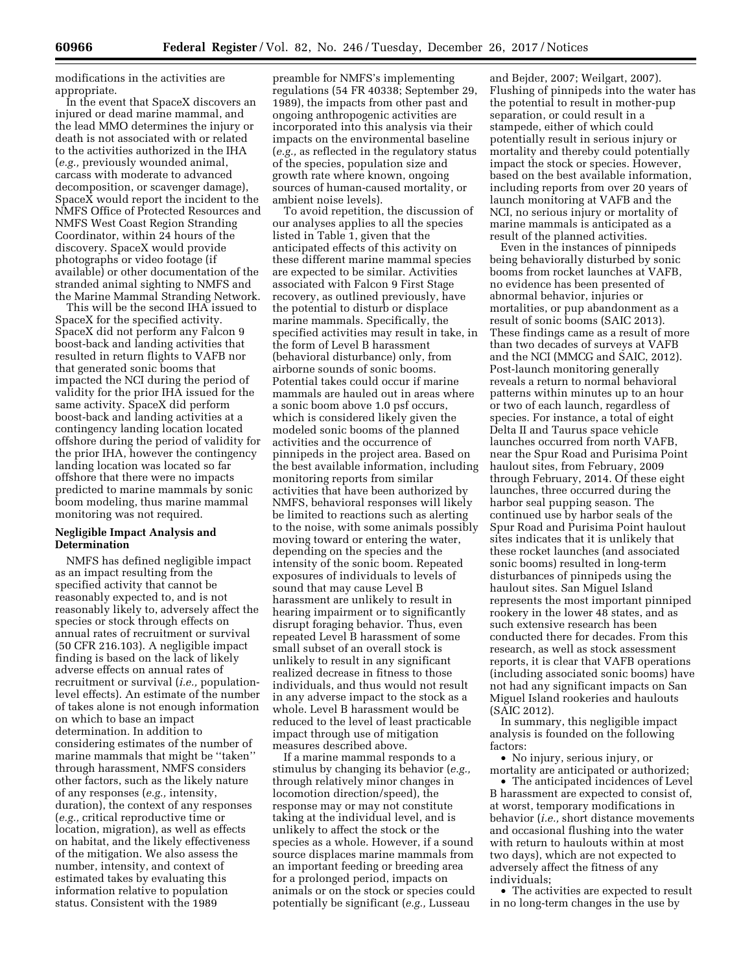modifications in the activities are appropriate.

In the event that SpaceX discovers an injured or dead marine mammal, and the lead MMO determines the injury or death is not associated with or related to the activities authorized in the IHA (*e.g.,* previously wounded animal, carcass with moderate to advanced decomposition, or scavenger damage), SpaceX would report the incident to the NMFS Office of Protected Resources and NMFS West Coast Region Stranding Coordinator, within 24 hours of the discovery. SpaceX would provide photographs or video footage (if available) or other documentation of the stranded animal sighting to NMFS and the Marine Mammal Stranding Network.

This will be the second IHA issued to SpaceX for the specified activity. SpaceX did not perform any Falcon 9 boost-back and landing activities that resulted in return flights to VAFB nor that generated sonic booms that impacted the NCI during the period of validity for the prior IHA issued for the same activity. SpaceX did perform boost-back and landing activities at a contingency landing location located offshore during the period of validity for the prior IHA, however the contingency landing location was located so far offshore that there were no impacts predicted to marine mammals by sonic boom modeling, thus marine mammal monitoring was not required.

## **Negligible Impact Analysis and Determination**

NMFS has defined negligible impact as an impact resulting from the specified activity that cannot be reasonably expected to, and is not reasonably likely to, adversely affect the species or stock through effects on annual rates of recruitment or survival (50 CFR 216.103). A negligible impact finding is based on the lack of likely adverse effects on annual rates of recruitment or survival (*i.e.,* populationlevel effects). An estimate of the number of takes alone is not enough information on which to base an impact determination. In addition to considering estimates of the number of marine mammals that might be ''taken'' through harassment, NMFS considers other factors, such as the likely nature of any responses (*e.g.,* intensity, duration), the context of any responses (*e.g.,* critical reproductive time or location, migration), as well as effects on habitat, and the likely effectiveness of the mitigation. We also assess the number, intensity, and context of estimated takes by evaluating this information relative to population status. Consistent with the 1989

preamble for NMFS's implementing regulations (54 FR 40338; September 29, 1989), the impacts from other past and ongoing anthropogenic activities are incorporated into this analysis via their impacts on the environmental baseline (*e.g.,* as reflected in the regulatory status of the species, population size and growth rate where known, ongoing sources of human-caused mortality, or ambient noise levels).

To avoid repetition, the discussion of our analyses applies to all the species listed in Table 1, given that the anticipated effects of this activity on these different marine mammal species are expected to be similar. Activities associated with Falcon 9 First Stage recovery, as outlined previously, have the potential to disturb or displace marine mammals. Specifically, the specified activities may result in take, in the form of Level B harassment (behavioral disturbance) only, from airborne sounds of sonic booms. Potential takes could occur if marine mammals are hauled out in areas where a sonic boom above 1.0 psf occurs, which is considered likely given the modeled sonic booms of the planned activities and the occurrence of pinnipeds in the project area. Based on the best available information, including monitoring reports from similar activities that have been authorized by NMFS, behavioral responses will likely be limited to reactions such as alerting to the noise, with some animals possibly moving toward or entering the water, depending on the species and the intensity of the sonic boom. Repeated exposures of individuals to levels of sound that may cause Level B harassment are unlikely to result in hearing impairment or to significantly disrupt foraging behavior. Thus, even repeated Level B harassment of some small subset of an overall stock is unlikely to result in any significant realized decrease in fitness to those individuals, and thus would not result in any adverse impact to the stock as a whole. Level B harassment would be reduced to the level of least practicable impact through use of mitigation measures described above.

If a marine mammal responds to a stimulus by changing its behavior (*e.g.,*  through relatively minor changes in locomotion direction/speed), the response may or may not constitute taking at the individual level, and is unlikely to affect the stock or the species as a whole. However, if a sound source displaces marine mammals from an important feeding or breeding area for a prolonged period, impacts on animals or on the stock or species could potentially be significant (*e.g.,* Lusseau

and Bejder, 2007; Weilgart, 2007). Flushing of pinnipeds into the water has the potential to result in mother-pup separation, or could result in a stampede, either of which could potentially result in serious injury or mortality and thereby could potentially impact the stock or species. However, based on the best available information, including reports from over 20 years of launch monitoring at VAFB and the NCI, no serious injury or mortality of marine mammals is anticipated as a result of the planned activities.

Even in the instances of pinnipeds being behaviorally disturbed by sonic booms from rocket launches at VAFB, no evidence has been presented of abnormal behavior, injuries or mortalities, or pup abandonment as a result of sonic booms (SAIC 2013). These findings came as a result of more than two decades of surveys at VAFB and the NCI (MMCG and SAIC, 2012). Post-launch monitoring generally reveals a return to normal behavioral patterns within minutes up to an hour or two of each launch, regardless of species. For instance, a total of eight Delta II and Taurus space vehicle launches occurred from north VAFB, near the Spur Road and Purisima Point haulout sites, from February, 2009 through February, 2014. Of these eight launches, three occurred during the harbor seal pupping season. The continued use by harbor seals of the Spur Road and Purisima Point haulout sites indicates that it is unlikely that these rocket launches (and associated sonic booms) resulted in long-term disturbances of pinnipeds using the haulout sites. San Miguel Island represents the most important pinniped rookery in the lower 48 states, and as such extensive research has been conducted there for decades. From this research, as well as stock assessment reports, it is clear that VAFB operations (including associated sonic booms) have not had any significant impacts on San Miguel Island rookeries and haulouts (SAIC 2012).

In summary, this negligible impact analysis is founded on the following factors:

• No injury, serious injury, or mortality are anticipated or authorized;

• The anticipated incidences of Level B harassment are expected to consist of, at worst, temporary modifications in behavior (*i.e.,* short distance movements and occasional flushing into the water with return to haulouts within at most two days), which are not expected to adversely affect the fitness of any individuals;

• The activities are expected to result in no long-term changes in the use by